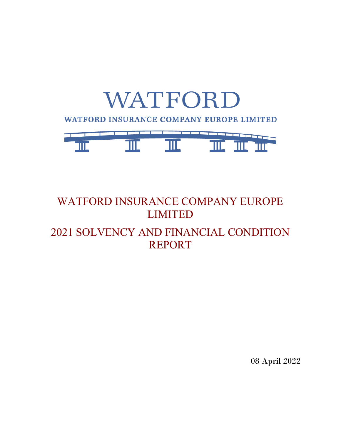

# WATFORD INSURANCE COMPANY EUROPE LIMITED 2021 SOLVENCY AND FINANCIAL CONDITION REPORT

08 April 2022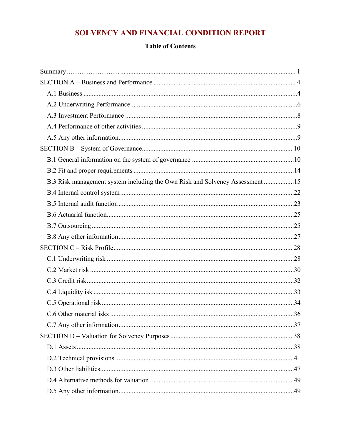# SOLVENCY AND FINANCIAL CONDITION REPORT

### **Table of Contents**

| B.3 Risk management system including the Own Risk and Solvency Assessment 15 |  |
|------------------------------------------------------------------------------|--|
|                                                                              |  |
|                                                                              |  |
|                                                                              |  |
|                                                                              |  |
|                                                                              |  |
|                                                                              |  |
|                                                                              |  |
|                                                                              |  |
|                                                                              |  |
|                                                                              |  |
|                                                                              |  |
|                                                                              |  |
|                                                                              |  |
|                                                                              |  |
|                                                                              |  |
|                                                                              |  |
|                                                                              |  |
|                                                                              |  |
|                                                                              |  |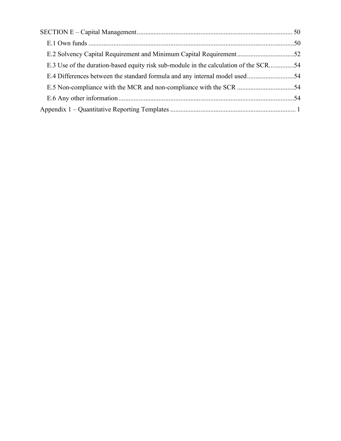| E.3 Use of the duration-based equity risk sub-module in the calculation of the SCR54 |  |
|--------------------------------------------------------------------------------------|--|
| E.4 Differences between the standard formula and any internal model used54           |  |
|                                                                                      |  |
|                                                                                      |  |
|                                                                                      |  |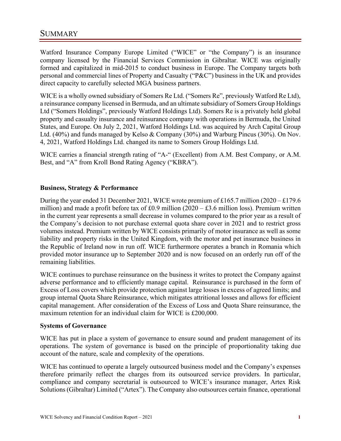<span id="page-3-0"></span>Watford Insurance Company Europe Limited ("WICE" or "the Company") is an insurance company licensed by the Financial Services Commission in Gibraltar. WICE was originally formed and capitalized in mid-2015 to conduct business in Europe. The Company targets both personal and commercial lines of Property and Casualty ("P&C") business in the UK and provides direct capacity to carefully selected MGA business partners.

WICE is a wholly owned subsidiary of Somers Re Ltd. ("Somers Re", previously Watford Re Ltd), a reinsurance company licensed in Bermuda, and an ultimate subsidiary of Somers Group Holdings Ltd ("Somers Holdings", previously Watford Holdings Ltd). Somers Re is a privately held global property and casualty insurance and reinsurance company with operations in Bermuda, the United States, and Europe. On July 2, 2021, Watford Holdings Ltd. was acquired by Arch Capital Group Ltd. (40%) and funds managed by Kelso & Company (30%) and Warburg Pincus (30%). On Nov. 4, 2021, Watford Holdings Ltd. changed its name to Somers Group Holdings Ltd.

WICE carries a financial strength rating of "A-" (Excellent) from A.M. Best Company, or A.M. Best, and "A" from Kroll Bond Rating Agency ("KBRA").

### **Business, Strategy & Performance**

During the year ended 31 December 2021, WICE wrote premium of £165.7 million (2020 – £179.6 million) and made a profit before tax of £0.9 million (2020 – £3.6 million loss). Premium written in the current year represents a small decrease in volumes compared to the prior year as a result of the Company's decision to not purchase external quota share cover in 2021 and to restrict gross volumes instead. Premium written by WICE consists primarily of motor insurance as well as some liability and property risks in the United Kingdom, with the motor and pet insurance business in the Republic of Ireland now in run off. WICE furthermore operates a branch in Romania which provided motor insurance up to September 2020 and is now focused on an orderly run off of the remaining liabilities.

WICE continues to purchase reinsurance on the business it writes to protect the Company against adverse performance and to efficiently manage capital. Reinsurance is purchased in the form of Excess of Loss covers which provide protection against large losses in excess of agreed limits; and group internal Quota Share Reinsurance, which mitigates attritional losses and allows for efficient capital management. After consideration of the Excess of Loss and Quota Share reinsurance, the maximum retention for an individual claim for WICE is £200,000.

#### **Systems of Governance**

WICE has put in place a system of governance to ensure sound and prudent management of its operations. The system of governance is based on the principle of proportionality taking due account of the nature, scale and complexity of the operations.

WICE has continued to operate a largely outsourced business model and the Company's expenses therefore primarily reflect the charges from its outsourced service providers. In particular, compliance and company secretarial is outsourced to WICE's insurance manager, Artex Risk Solutions (Gibraltar) Limited ("Artex"). The Company also outsources certain finance, operational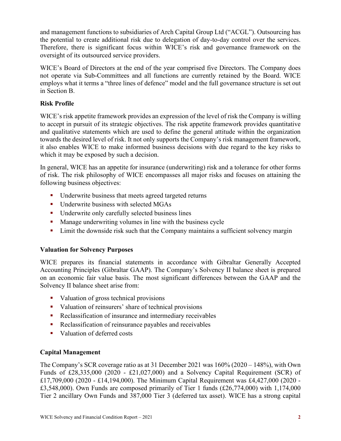and management functions to subsidiaries of Arch Capital Group Ltd ("ACGL"). Outsourcing has the potential to create additional risk due to delegation of day-to-day control over the services. Therefore, there is significant focus within WICE's risk and governance framework on the oversight of its outsourced service providers.

WICE's Board of Directors at the end of the year comprised five Directors. The Company does not operate via Sub-Committees and all functions are currently retained by the Board. WICE employs what it terms a "three lines of defence" model and the full governance structure is set out in Section B.

#### **Risk Profile**

WICE's risk appetite framework provides an expression of the level of risk the Company is willing to accept in pursuit of its strategic objectives. The risk appetite framework provides quantitative and qualitative statements which are used to define the general attitude within the organization towards the desired level of risk. It not only supports the Company's risk management framework, it also enables WICE to make informed business decisions with due regard to the key risks to which it may be exposed by such a decision.

In general, WICE has an appetite for insurance (underwriting) risk and a tolerance for other forms of risk. The risk philosophy of WICE encompasses all major risks and focuses on attaining the following business objectives:

- Underwrite business that meets agreed targeted returns
- Underwrite business with selected MGAs
- **Underwrite only carefully selected business lines**
- **Manage underwriting volumes in line with the business cycle**
- **EXECUTE:** Limit the downside risk such that the Company maintains a sufficient solvency margin

#### **Valuation for Solvency Purposes**

WICE prepares its financial statements in accordance with Gibraltar Generally Accepted Accounting Principles (Gibraltar GAAP). The Company's Solvency II balance sheet is prepared on an economic fair value basis. The most significant differences between the GAAP and the Solvency II balance sheet arise from:

- Valuation of gross technical provisions
- Valuation of reinsurers' share of technical provisions
- Reclassification of insurance and intermediary receivables
- Reclassification of reinsurance payables and receivables
- Valuation of deferred costs

#### **Capital Management**

The Company's SCR coverage ratio as at 31 December 2021 was 160% (2020 – 148%), with Own Funds of £28,335,000 (2020 - £21,027,000) and a Solvency Capital Requirement (SCR) of £17,709,000 (2020 - £14,194,000). The Minimum Capital Requirement was £4,427,000 (2020 - £3,548,000). Own Funds are composed primarily of Tier 1 funds (£26,774,000) with 1,174,000 Tier 2 ancillary Own Funds and 387,000 Tier 3 (deferred tax asset). WICE has a strong capital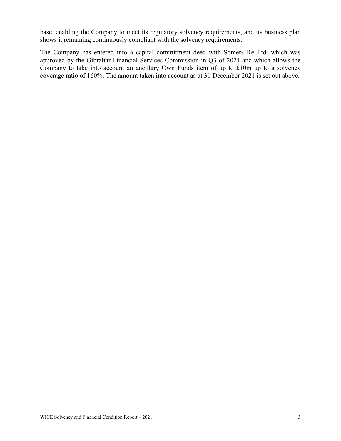base, enabling the Company to meet its regulatory solvency requirements, and its business plan shows it remaining continuously compliant with the solvency requirements.

The Company has entered into a capital commitment deed with Somers Re Ltd. which was approved by the Gibraltar Financial Services Commission in Q3 of 2021 and which allows the Company to take into account an ancillary Own Funds item of up to £10m up to a solvency coverage ratio of 160%. The amount taken into account as at 31 December 2021 is set out above.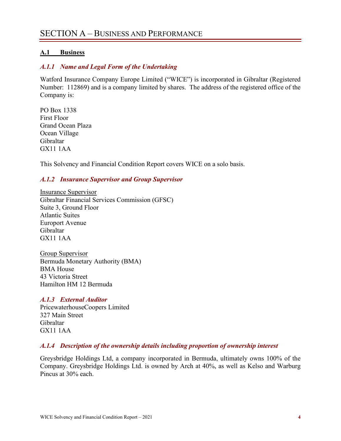#### <span id="page-6-1"></span><span id="page-6-0"></span>**A.1 Business**

#### *A.1.1 Name and Legal Form of the Undertaking*

Watford Insurance Company Europe Limited ("WICE") is incorporated in Gibraltar (Registered Number: 112869) and is a company limited by shares. The address of the registered office of the Company is:

PO Box 1338 First Floor Grand Ocean Plaza Ocean Village Gibraltar GX11 1AA

This Solvency and Financial Condition Report covers WICE on a solo basis.

#### *A.1.2 Insurance Supervisor and Group Supervisor*

Insurance Supervisor Gibraltar Financial Services Commission (GFSC) Suite 3, Ground Floor Atlantic Suites Europort Avenue Gibraltar GX11 1AA

Group Supervisor Bermuda Monetary Authority (BMA) BMA House 43 Victoria Street Hamilton HM 12 Bermuda

*A.1.3 External Auditor* PricewaterhouseCoopers Limited 327 Main Street Gibraltar GX11 1AA

#### *A.1.4 Description of the ownership details including proportion of ownership interest*

Greysbridge Holdings Ltd, a company incorporated in Bermuda, ultimately owns 100% of the Company. Greysbridge Holdings Ltd. is owned by Arch at 40%, as well as Kelso and Warburg Pincus at 30% each.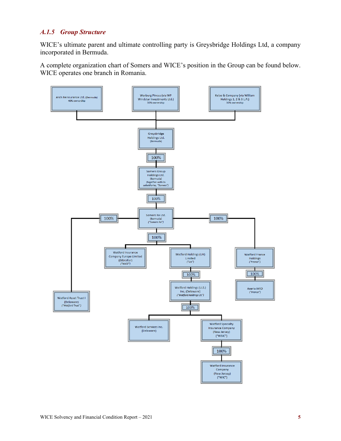### *A.1.5 Group Structure*

WICE's ultimate parent and ultimate controlling party is Greysbridge Holdings Ltd, a company incorporated in Bermuda.

A complete organization chart of Somers and WICE's position in the Group can be found below. WICE operates one branch in Romania.

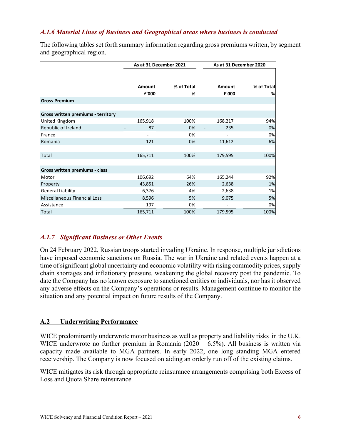#### *A.1.6 Material Lines of Business and Geographical areas where business is conducted*

The following tables set forth summary information regarding gross premiums written, by segment and geographical region.

|                                           | As at 31 December 2021 |                 | As at 31 December 2020 |                 |
|-------------------------------------------|------------------------|-----------------|------------------------|-----------------|
|                                           | <b>Amount</b><br>£'000 | % of Total<br>% | Amount<br>£'000        | % of Total<br>% |
| <b>Gross Premium</b>                      |                        |                 |                        |                 |
| <b>Gross written premiums - territory</b> |                        |                 |                        |                 |
| United Kingdom                            | 165,918                | 100%            | 168,217                | 94%             |
| Republic of Ireland                       | 87                     | 0%              | 235                    | 0%              |
| France                                    |                        | 0%              |                        | 0%              |
| Romania                                   | 121                    | 0%              | 11,612                 | 6%              |
|                                           |                        |                 |                        |                 |
| Total                                     | 165,711                | 100%            | 179,595                | 100%            |
|                                           |                        |                 |                        |                 |
| Gross written premiums - class            |                        |                 |                        |                 |
| Motor                                     | 106,692                | 64%             | 165,244                | 92%             |
| Property                                  | 43,851                 | 26%             | 2,638                  | 1%              |
| <b>General Liability</b>                  | 6,376                  | 4%              | 2,638                  | 1%              |
| Miscellaneous Financial Loss              | 8,596                  | 5%              | 9,075                  | 5%              |
| Assistance                                | 197                    | 0%              |                        | 0%              |
| Total                                     | 165,711                | 100%            | 179,595                | 100%            |

#### *A.1.7 Significant Business or Other Events*

On 24 February 2022, Russian troops started invading Ukraine. In response, multiple jurisdictions have imposed economic sanctions on Russia. The war in Ukraine and related events happen at a time of significant global uncertainty and economic volatility with rising commodity prices, supply chain shortages and inflationary pressure, weakening the global recovery post the pandemic. To date the Company has no known exposure to sanctioned entities or individuals, nor has it observed any adverse effects on the Company's operations or results. Management continue to monitor the situation and any potential impact on future results of the Company.

#### <span id="page-8-0"></span>**A.2 Underwriting Performance**

WICE predominantly underwrote motor business as well as property and liability risks in the U.K. WICE underwrote no further premium in Romania (2020 – 6.5%). All business is written via capacity made available to MGA partners. In early 2022, one long standing MGA entered receivership. The Company is now focused on aiding an orderly run off of the existing claims.

WICE mitigates its risk through appropriate reinsurance arrangements comprising both Excess of Loss and Quota Share reinsurance.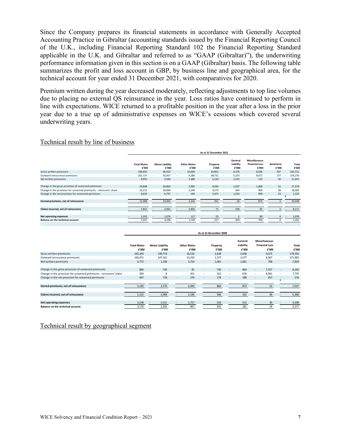Since the Company prepares its financial statements in accordance with Generally Accepted Accounting Practice in Gibraltar (accounting standards issued by the Financial Reporting Council of the U.K., including Financial Reporting Standard 102 the Financial Reporting Standard applicable in the U.K. and Gibraltar and referred to as "GAAP (Gibraltar)"), the underwriting performance information given in this section is on a GAAP (Gibraltar) basis. The following table summarizes the profit and loss account in GBP, by business line and geographical area, for the technical account for year ended 31 December 2021, with comparatives for 2020.

Premium written during the year decreased moderately, reflecting adjustments to top line volumes due to placing no external QS reinsurance in the year. Loss ratios have continued to perform in line with expectations. WICE returned to a profitable position in the year after a loss in the prior year due to a true up of administrative expenses on WICE's cessions which covered several underwriting years.

#### Technical result by line of business

|                                                                   | As at 31 December 2021      |                                 |                                 |                   |                                   |                                                        |                                |                 |
|-------------------------------------------------------------------|-----------------------------|---------------------------------|---------------------------------|-------------------|-----------------------------------|--------------------------------------------------------|--------------------------------|-----------------|
|                                                                   | <b>Total Motor</b><br>£'000 | <b>Motor Liability</b><br>£'000 | <b>Other Motor</b><br>£'000     | Property<br>£'000 | General<br>Liability<br>£'000     | <b>Miscellaneous</b><br><b>Financial Loss</b><br>£'000 | Assistance<br>£'000            | Total<br>£'000  |
| Gross written premiums                                            | 106,692                     | 96,023                          | 10,669                          | 43,851            | 6,376                             | 8,596                                                  | 197                            | 165,711         |
| Outward reinsurance premiums                                      | 101,737                     | 92,457                          | 9,280                           | 38,731            | 5,153<br>$\sim$                   | 8,472                                                  | 177                            | 154,270         |
| Net written premiums                                              | 4,955                       | 3,566                           | 1,389                           | 5,120             | 1,223                             | 123                                                    | 20                             | 11,441          |
|                                                                   |                             |                                 |                                 |                   |                                   |                                                        |                                |                 |
| Change in the gross provision of unearned premiums                | 29,848                      | 26,863                          | 2,985                           | 9,043<br>$\sim$   | 1,507<br>$\overline{\phantom{a}}$ | 1,968                                                  | 52<br>٠                        | 17,278          |
| Change in the provision for unearned premiums - reinsurers' share | 23,215                      | 20,066                          | 3,149                           | 3,572<br>٠        | 264<br>$\sim$                     | 969                                                    | 28<br>$\sim$                   | 18,382          |
| Change in the net provision for unearned permiums                 | 6,633                       | 6,797                           | 164                             | 5,471             | 1,243                             | 999                                                    | 23<br>$\overline{\phantom{a}}$ | 1,103<br>$\sim$ |
|                                                                   |                             |                                 |                                 |                   |                                   |                                                        |                                |                 |
| Earned premiums, net of reinsurance                               | 11,588                      | 10,363                          | 1,224                           | 351               | 20                                | 875                                                    | $\mathbf{3}$                   | 10,338          |
|                                                                   |                             |                                 |                                 |                   |                                   |                                                        |                                |                 |
| Claims incurred, net of reinsurance                               | 7,847                       | 4,991                           | 2,856                           | 71                | 439<br>$\sim$                     | 95                                                     |                                | 8,117           |
|                                                                   |                             |                                 |                                 |                   |                                   |                                                        |                                |                 |
| Net operating expenses                                            | 1,193                       | 1,076                           | 117<br>$\overline{\phantom{a}}$ | 53                |                                   | 80                                                     | $\mathbf 0$                    | 1,059           |
| <b>Balance on the technical account</b>                           | 2,547                       | 4,296                           | 1,749                           | 227               | 459                               | 700                                                    | $\Omega$                       | 1,162           |

|                                                                   | As at 31 December 2020      |                                 |                             |                                 |                                 |                                                        |                                   |
|-------------------------------------------------------------------|-----------------------------|---------------------------------|-----------------------------|---------------------------------|---------------------------------|--------------------------------------------------------|-----------------------------------|
|                                                                   | <b>Total Motor</b><br>£'000 | <b>Motor Liability</b><br>£'000 | <b>Other Motor</b><br>£'000 | Property<br>£'000               | General<br>Liability<br>£'000   | <b>Miscellaneous</b><br><b>Financial Loss</b><br>£'000 | Total<br>£'000                    |
| Gross written premiums                                            | 165,244                     | 148,719                         | 16,524                      | 2,638                           | 2,638                           | 9,075                                                  | 179,595                           |
| Outward reinsurance premiums                                      | 160,471<br>٠                | 147,161<br>$\sim$               | 13,310<br>٠                 | 1,577                           | 1,577<br>٠                      | 8,367<br>٠                                             | 171,992                           |
| Net written premiums                                              | 4,772                       | 1,558                           | 3,214                       | 1,061                           | 1,061                           | 708                                                    | 7,603                             |
|                                                                   |                             |                                 |                             |                                 |                                 |                                                        |                                   |
| Change in the gross provision of unearned premiums                | 806                         | 726                             | 81                          | 730<br>$\overline{\phantom{a}}$ | 864<br>$\overline{\phantom{a}}$ | 7,557<br>٠                                             | 8,345<br>$\overline{\phantom{a}}$ |
| Change in the provision for unearned premiums - reinsurers' share | 359                         | 8                               | 351                         | 552<br>$\sim$                   | 676<br>$\overline{\phantom{a}}$ | 6,901<br>$\overline{\phantom{a}}$                      | 7,770<br>۰.                       |
| Change in the net provision for unearned permiums                 | 447                         | 718                             | 270                         | 178<br>$\overline{\phantom{a}}$ | 188<br>٠                        | 657<br>٠                                               | 576<br>$\overline{\phantom{a}}$   |
|                                                                   |                             |                                 |                             |                                 |                                 |                                                        |                                   |
| Earned premiums, net of reinsurance                               | 5,220                       | 2,276                           | 2,944                       | 883                             | 873                             | 52                                                     | 7,027                             |
|                                                                   |                             |                                 |                             |                                 |                                 |                                                        |                                   |
| Claims incurred, net of reinsurance                               | 5,152                       | 2,968                           | 2,184                       | 566                             | 542                             | 46                                                     | 6,306                             |
|                                                                   |                             |                                 |                             |                                 |                                 |                                                        |                                   |
| <b>Net operating expenses</b>                                     | 3,238<br>$\sim$             | 1,511<br>$\sim$                 | 1,727                       | 518<br>$\sim$                   | 512<br>$\overline{\phantom{a}}$ | 30<br>$\overline{\phantom{a}}$                         | 4,298                             |
| Balance on the technical account                                  | 3,170                       | 2,203                           | 967                         | 201                             | 181                             | 24                                                     | 3,577                             |

#### Technical result by geographical segment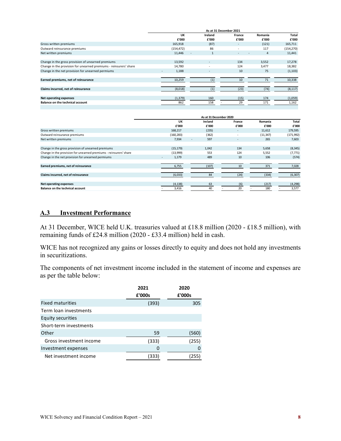|                                                                   | As at 31 December 2021            |                          |                          |                |            |
|-------------------------------------------------------------------|-----------------------------------|--------------------------|--------------------------|----------------|------------|
|                                                                   | UK                                | Ireland                  | France                   | Romania        | Total      |
|                                                                   | £'000                             | £'000                    | £'000                    | £'000          | £'000      |
| Gross written premiums                                            | 165,918                           | (87)                     | $\sim$                   | (121)          | 165,711    |
| Outward reinsurance premiums                                      | (154, 472)                        | 86                       | $\overline{\phantom{a}}$ | 117            | (154, 270) |
| Net written premiums                                              | 11,446                            | $\mathbf{1}$             | $\overline{\phantom{a}}$ | $\overline{4}$ | 11,441     |
|                                                                   |                                   |                          |                          |                |            |
| Change in the gross provision of unearned premiums                | 13,592                            | $\overline{\phantom{a}}$ | 134                      | 3,552          | 17,278     |
| Change in the provision for unearned premiums - reinsurers' share | 14,780                            | ۰                        | 124                      | 3,477          | 18,382     |
| Change in the net provision for unearned permiums                 | 1,188<br>$\overline{\phantom{a}}$ | $\overline{\phantom{a}}$ | 10                       | 75             | (1, 103)   |
|                                                                   |                                   |                          |                          |                |            |
| Earned premiums, net of reinsurance                               | 10,259                            | (1)                      | 10                       | 71             | 10,338     |
|                                                                   |                                   |                          |                          |                |            |
| Claims incurred, net of reinsurance                               | (8,018)                           | (1)                      | (23)                     | (74)           | (8, 117)   |
|                                                                   |                                   |                          |                          |                |            |
| Net operating expenses                                            | (1, 379)                          | 160                      | (15)                     | 174            | (1,059)    |
| Balance on the technical account                                  | 862                               | 158                      | 29                       | 171            | 1,162      |
|                                                                   |                                   |                          |                          |                |            |

|                                                                   | As at 31 December 2020 |                                 |        |           |            |
|-------------------------------------------------------------------|------------------------|---------------------------------|--------|-----------|------------|
|                                                                   | UK                     | Ireland                         | France | Romania   | Total      |
|                                                                   | £'000                  | £'000                           | £'000  | £'000     | £'000      |
| Gross written premiums                                            | 168,217                | (235)                           |        | 11,612    | 179,595    |
| Outward reinsurance premiums                                      | (160, 283)             | (362)                           |        | (11, 347) | (171, 992) |
| Net written premiums                                              | 7,934                  | 597<br>$\overline{\phantom{a}}$ | ٠      | 265       | 7,603      |
|                                                                   |                        |                                 |        |           |            |
| Change in the gross provision of unearned premiums                | (15, 179)              | 1,042                           | 134    | 5,658     | (8, 345)   |
| Change in the provision for unearned premiums - reinsurers' share | (13,999)               | 553                             | 124    | 5,552     | (7, 771)   |
| Change in the net provision for unearned permiums                 | 1,179                  | 489                             | 10     | 106       | (574)      |
|                                                                   |                        |                                 |        |           |            |
| Earned premiums, net of reinsurance                               | 6,755                  | (107)                           | 10     | 371       | 7,028      |
|                                                                   |                        |                                 |        |           |            |
| Claims incurred, net of reinsurance                               | (6,033)                | 84                              | (24)   | (334)     | (6, 307)   |
|                                                                   |                        |                                 |        |           |            |
| Net operating expenses                                            | (4, 138)               | 63                              | (6)    | (217)     | (4, 298)   |
| <b>Balance on the technical account</b>                           | 3,416                  | 40                              | 20     | 180       | 3,577      |
|                                                                   |                        |                                 |        |           |            |

#### <span id="page-10-0"></span>**A.3 Investment Performance**

At 31 December, WICE held U.K. treasuries valued at £18.8 million (2020 - £18.5 million), with remaining funds of £24.8 million (2020 - £33.4 million) held in cash.

WICE has not recognized any gains or losses directly to equity and does not hold any investments in securitizations.

The components of net investment income included in the statement of income and expenses are as per the table below:

|                          | 2021<br>£'000s | 2020<br>£'000s |
|--------------------------|----------------|----------------|
| <b>Fixed maturities</b>  | (393)          | 305            |
| Term loan investments    |                |                |
| <b>Equity securities</b> |                |                |
| Short-term investments   |                |                |
| Other                    | 59             | (560)          |
| Gross investment income  | (333)          | (255)          |
| Investment expenses      | 0              | 0              |
| Net investment income    | 333            | 255            |
|                          |                |                |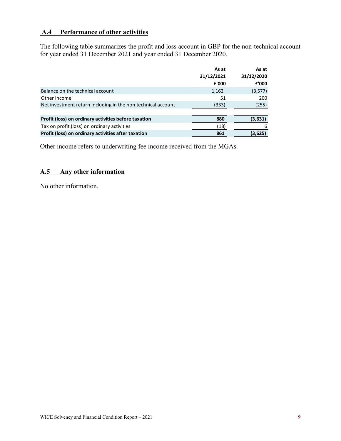### <span id="page-11-0"></span>**A.4 Performance of other activities**

The following table summarizes the profit and loss account in GBP for the non-technical account for year ended 31 December 2021 and year ended 31 December 2020.

|                                                              | As at<br>31/12/2021 | As at<br>31/12/2020 |
|--------------------------------------------------------------|---------------------|---------------------|
|                                                              | £'000               | £'000               |
| Balance on the technical account                             | 1,162               | (3,577)             |
| Other income                                                 | 51                  | 200                 |
| Net investment return including in the non technical account | (333)               | (255)               |
|                                                              |                     |                     |
| Profit (loss) on ordinary activities before taxation         | 880                 | (3,631)             |
| Tax on profit (loss) on ordinary activities                  | (18)                | 6                   |
| Profit (loss) on ordinary activities after taxation          | 861                 | (3,625)             |

Other income refers to underwriting fee income received from the MGAs.

#### <span id="page-11-1"></span>**A.5 Any other information**

No other information.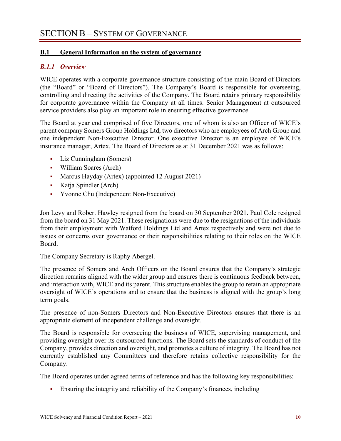#### <span id="page-12-1"></span><span id="page-12-0"></span>**B.1 General Information on the system of governance**

#### *B.1.1 Overview*

WICE operates with a corporate governance structure consisting of the main Board of Directors (the "Board" or "Board of Directors"). The Company's Board is responsible for overseeing, controlling and directing the activities of the Company. The Board retains primary responsibility for corporate governance within the Company at all times. Senior Management at outsourced service providers also play an important role in ensuring effective governance.

The Board at year end comprised of five Directors, one of whom is also an Officer of WICE's parent company Somers Group Holdings Ltd, two directors who are employees of Arch Group and one independent Non-Executive Director. One executive Director is an employee of WICE's insurance manager, Artex. The Board of Directors as at 31 December 2021 was as follows:

- Liz Cunningham (Somers)
- William Soares (Arch)
- Marcus Hayday (Artex) (appointed 12 August 2021)
- Katja Spindler (Arch)
- Yvonne Chu (Independent Non-Executive)

Jon Levy and Robert Hawley resigned from the board on 30 September 2021. Paul Cole resigned from the board on 31 May 2021. These resignations were due to the resignations of the individuals from their employment with Watford Holdings Ltd and Artex respectively and were not due to issues or concerns over governance or their responsibilities relating to their roles on the WICE Board.

The Company Secretary is Raphy Abergel.

The presence of Somers and Arch Officers on the Board ensures that the Company's strategic direction remains aligned with the wider group and ensures there is continuous feedback between, and interaction with, WICE and its parent. This structure enables the group to retain an appropriate oversight of WICE's operations and to ensure that the business is aligned with the group's long term goals.

The presence of non-Somers Directors and Non-Executive Directors ensures that there is an appropriate element of independent challenge and oversight.

The Board is responsible for overseeing the business of WICE, supervising management, and providing oversight over its outsourced functions. The Board sets the standards of conduct of the Company, provides direction and oversight, and promotes a culture of integrity. The Board has not currently established any Committees and therefore retains collective responsibility for the Company.

The Board operates under agreed terms of reference and has the following key responsibilities:

Ensuring the integrity and reliability of the Company's finances, including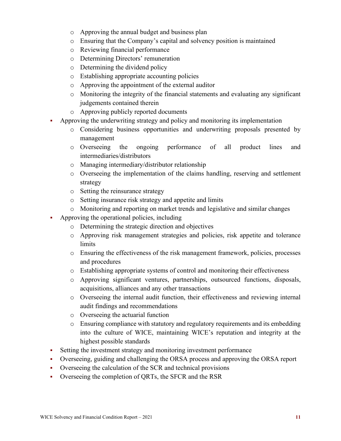- o Approving the annual budget and business plan
- o Ensuring that the Company's capital and solvency position is maintained
- o Reviewing financial performance
- o Determining Directors' remuneration
- o Determining the dividend policy
- o Establishing appropriate accounting policies
- o Approving the appointment of the external auditor
- o Monitoring the integrity of the financial statements and evaluating any significant judgements contained therein
- o Approving publicly reported documents
- Approving the underwriting strategy and policy and monitoring its implementation
	- o Considering business opportunities and underwriting proposals presented by management
	- o Overseeing the ongoing performance of all product lines and intermediaries/distributors
	- o Managing intermediary/distributor relationship
	- o Overseeing the implementation of the claims handling, reserving and settlement strategy
	- o Setting the reinsurance strategy
	- o Setting insurance risk strategy and appetite and limits
	- o Monitoring and reporting on market trends and legislative and similar changes
- Approving the operational policies, including
	- o Determining the strategic direction and objectives
	- o Approving risk management strategies and policies, risk appetite and tolerance **limits**
	- o Ensuring the effectiveness of the risk management framework, policies, processes and procedures
	- o Establishing appropriate systems of control and monitoring their effectiveness
	- o Approving significant ventures, partnerships, outsourced functions, disposals, acquisitions, alliances and any other transactions
	- o Overseeing the internal audit function, their effectiveness and reviewing internal audit findings and recommendations
	- o Overseeing the actuarial function
	- o Ensuring compliance with statutory and regulatory requirements and its embedding into the culture of WICE, maintaining WICE's reputation and integrity at the highest possible standards
- Setting the investment strategy and monitoring investment performance
- Overseeing, guiding and challenging the ORSA process and approving the ORSA report
- Overseeing the calculation of the SCR and technical provisions
- Overseeing the completion of QRTs, the SFCR and the RSR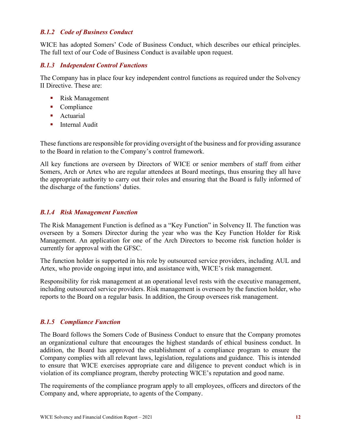#### *B.1.2 Code of Business Conduct*

WICE has adopted Somers' Code of Business Conduct, which describes our ethical principles. The full text of our Code of Business Conduct is available upon request.

#### *B.1.3 Independent Control Functions*

The Company has in place four key independent control functions as required under the Solvency II Directive. These are:

- **Risk Management**
- Compliance
- **Actuarial**
- **Internal Audit**

These functions are responsible for providing oversight of the business and for providing assurance to the Board in relation to the Company's control framework.

All key functions are overseen by Directors of WICE or senior members of staff from either Somers, Arch or Artex who are regular attendees at Board meetings, thus ensuring they all have the appropriate authority to carry out their roles and ensuring that the Board is fully informed of the discharge of the functions' duties.

#### *B.1.4 Risk Management Function*

The Risk Management Function is defined as a "Key Function" in Solvency II. The function was overseen by a Somers Director during the year who was the Key Function Holder for Risk Management. An application for one of the Arch Directors to become risk function holder is currently for approval with the GFSC.

The function holder is supported in his role by outsourced service providers, including AUL and Artex, who provide ongoing input into, and assistance with, WICE's risk management.

Responsibility for risk management at an operational level rests with the executive management, including outsourced service providers. Risk management is overseen by the function holder, who reports to the Board on a regular basis. In addition, the Group oversees risk management.

#### *B.1.5 Compliance Function*

The Board follows the Somers Code of Business Conduct to ensure that the Company promotes an organizational culture that encourages the highest standards of ethical business conduct. In addition, the Board has approved the establishment of a compliance program to ensure the Company complies with all relevant laws, legislation, regulations and guidance. This is intended to ensure that WICE exercises appropriate care and diligence to prevent conduct which is in violation of its compliance program, thereby protecting WICE's reputation and good name.

The requirements of the compliance program apply to all employees, officers and directors of the Company and, where appropriate, to agents of the Company.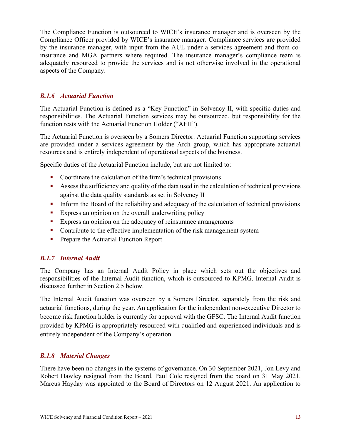The Compliance Function is outsourced to WICE's insurance manager and is overseen by the Compliance Officer provided by WICE's insurance manager. Compliance services are provided by the insurance manager, with input from the AUL under a services agreement and from coinsurance and MGA partners where required. The insurance manager's compliance team is adequately resourced to provide the services and is not otherwise involved in the operational aspects of the Company.

#### *B.1.6 Actuarial Function*

The Actuarial Function is defined as a "Key Function" in Solvency II, with specific duties and responsibilities. The Actuarial Function services may be outsourced, but responsibility for the function rests with the Actuarial Function Holder ("AFH").

The Actuarial Function is overseen by a Somers Director. Actuarial Function supporting services are provided under a services agreement by the Arch group, which has appropriate actuarial resources and is entirely independent of operational aspects of the business.

Specific duties of the Actuarial Function include, but are not limited to:

- Coordinate the calculation of the firm's technical provisions
- Assess the sufficiency and quality of the data used in the calculation of technical provisions against the data quality standards as set in Solvency II
- **Inform the Board of the reliability and adequacy of the calculation of technical provisions**
- **Express an opinion on the overall underwriting policy**
- Express an opinion on the adequacy of reinsurance arrangements
- Contribute to the effective implementation of the risk management system
- **Prepare the Actuarial Function Report**

### *B.1.7 Internal Audit*

The Company has an Internal Audit Policy in place which sets out the objectives and responsibilities of the Internal Audit function, which is outsourced to KPMG. Internal Audit is discussed further in Section 2.5 below.

The Internal Audit function was overseen by a Somers Director, separately from the risk and actuarial functions, during the year. An application for the independent non-executive Director to become risk function holder is currently for approval with the GFSC. The Internal Audit function provided by KPMG is appropriately resourced with qualified and experienced individuals and is entirely independent of the Company's operation.

### *B.1.8 Material Changes*

There have been no changes in the systems of governance. On 30 September 2021, Jon Levy and Robert Hawley resigned from the Board. Paul Cole resigned from the board on 31 May 2021. Marcus Hayday was appointed to the Board of Directors on 12 August 2021. An application to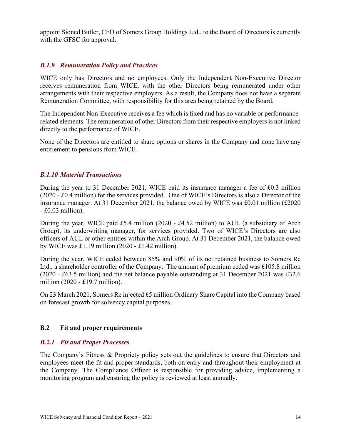appoint Sioned Butler, CFO of Somers Group Holdings Ltd., to the Board of Directors is currently with the GFSC for approval.

### *B.1.9 Remuneration Policy and Practices*

WICE only has Directors and no employees. Only the Independent Non-Executive Director receives remuneration from WICE, with the other Directors being remunerated under other arrangements with their respective employers. As a result, the Company does not have a separate Remuneration Committee, with responsibility for this area being retained by the Board.

The Independent Non-Executive receives a fee which is fixed and has no variable or performancerelated elements. The remuneration of other Directors from their respective employers is not linked directly to the performance of WICE.

None of the Directors are entitled to share options or shares in the Company and none have any entitlement to pensions from WICE.

#### *B.1.10 Material Transactions*

During the year to 31 December 2021, WICE paid its insurance manager a fee of £0.3 million (2020 - £0.4 million) for the services provided. One of WICE's Directors is also a Director of the insurance manager. At 31 December 2021, the balance owed by WICE was £0.01 million (£2020 - £0.03 million).

During the year, WICE paid £5.4 million (2020 - £4.52 million) to AUL (a subsidiary of Arch Group), its underwriting manager, for services provided. Two of WICE's Directors are also officers of AUL or other entities within the Arch Group. At 31 December 2021, the balance owed by WICE was  $\pounds1.19$  million (2020 -  $\pounds1.42$  million).

During the year, WICE ceded between 85% and 90% of its net retained business to Somers Re Ltd., a shareholder controller of the Company. The amount of premium ceded was £105.8 million (2020 - £63.5 million) and the net balance payable outstanding at 31 December 2021 was £32.6 million (2020 - £19.7 million).

On 23 March 2021, Somers Re injected £5 million Ordinary Share Capital into the Company based on forecast growth for solvency capital purposes.

#### <span id="page-16-0"></span>**B.2 Fit and proper requirements**

#### *B.2.1 Fit and Proper Processes*

The Company's Fitness & Propriety policy sets out the guidelines to ensure that Directors and employees meet the fit and proper standards, both on entry and throughout their employment at the Company. The Compliance Officer is responsible for providing advice, implementing a monitoring program and ensuring the policy is reviewed at least annually.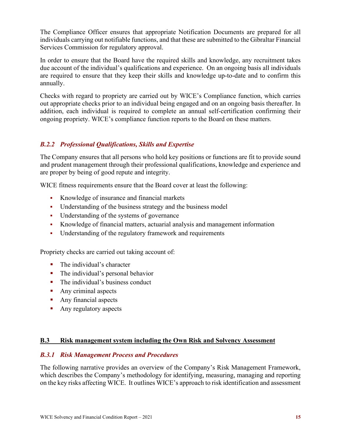The Compliance Officer ensures that appropriate Notification Documents are prepared for all individuals carrying out notifiable functions, and that these are submitted to the Gibraltar Financial Services Commission for regulatory approval.

In order to ensure that the Board have the required skills and knowledge, any recruitment takes due account of the individual's qualifications and experience. On an ongoing basis all individuals are required to ensure that they keep their skills and knowledge up-to-date and to confirm this annually.

Checks with regard to propriety are carried out by WICE's Compliance function, which carries out appropriate checks prior to an individual being engaged and on an ongoing basis thereafter. In addition, each individual is required to complete an annual self-certification confirming their ongoing propriety. WICE's compliance function reports to the Board on these matters.

### *B.2.2 Professional Qualifications, Skills and Expertise*

The Company ensures that all persons who hold key positions or functions are fit to provide sound and prudent management through their professional qualifications, knowledge and experience and are proper by being of good repute and integrity.

WICE fitness requirements ensure that the Board cover at least the following:

- Knowledge of insurance and financial markets
- Understanding of the business strategy and the business model
- Understanding of the systems of governance
- Knowledge of financial matters, actuarial analysis and management information
- Understanding of the regulatory framework and requirements

Propriety checks are carried out taking account of:

- The individual's character
- The individual's personal behavior
- The individual's business conduct
- **Any criminal aspects**
- **Any financial aspects**
- **Any regulatory aspects**

#### <span id="page-17-0"></span>**B.3 Risk management system including the Own Risk and Solvency Assessment**

#### *B.3.1 Risk Management Process and Procedures*

The following narrative provides an overview of the Company's Risk Management Framework, which describes the Company's methodology for identifying, measuring, managing and reporting on the key risks affecting WICE. It outlines WICE's approach to risk identification and assessment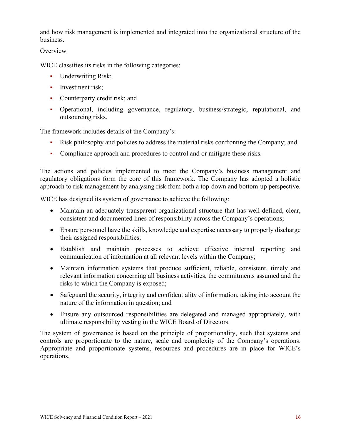and how risk management is implemented and integrated into the organizational structure of the business.

#### **Overview**

WICE classifies its risks in the following categories:

- Underwriting Risk;
- **Investment risk:**
- Counterparty credit risk; and
- Operational, including governance, regulatory, business/strategic, reputational, and outsourcing risks.

The framework includes details of the Company's:

- Risk philosophy and policies to address the material risks confronting the Company; and
- Compliance approach and procedures to control and or mitigate these risks.

The actions and policies implemented to meet the Company's business management and regulatory obligations form the core of this framework. The Company has adopted a holistic approach to risk management by analysing risk from both a top-down and bottom-up perspective.

WICE has designed its system of governance to achieve the following:

- Maintain an adequately transparent organizational structure that has well-defined, clear, consistent and documented lines of responsibility across the Company's operations;
- Ensure personnel have the skills, knowledge and expertise necessary to properly discharge their assigned responsibilities;
- Establish and maintain processes to achieve effective internal reporting and communication of information at all relevant levels within the Company;
- Maintain information systems that produce sufficient, reliable, consistent, timely and relevant information concerning all business activities, the commitments assumed and the risks to which the Company is exposed;
- Safeguard the security, integrity and confidentiality of information, taking into account the nature of the information in question; and
- Ensure any outsourced responsibilities are delegated and managed appropriately, with ultimate responsibility vesting in the WICE Board of Directors.

The system of governance is based on the principle of proportionality, such that systems and controls are proportionate to the nature, scale and complexity of the Company's operations. Appropriate and proportionate systems, resources and procedures are in place for WICE's operations.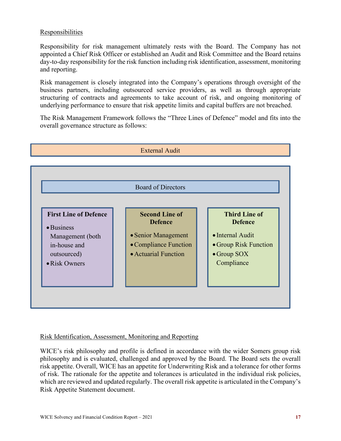#### Responsibilities

Responsibility for risk management ultimately rests with the Board. The Company has not appointed a Chief Risk Officer or established an Audit and Risk Committee and the Board retains day-to-day responsibility for the risk function including risk identification, assessment, monitoring and reporting.

Risk management is closely integrated into the Company's operations through oversight of the business partners, including outsourced service providers, as well as through appropriate structuring of contracts and agreements to take account of risk, and ongoing monitoring of underlying performance to ensure that risk appetite limits and capital buffers are not breached.

The Risk Management Framework follows the "Three Lines of Defence" model and fits into the overall governance structure as follows:



#### Risk Identification, Assessment, Monitoring and Reporting

WICE's risk philosophy and profile is defined in accordance with the wider Somers group risk philosophy and is evaluated, challenged and approved by the Board. The Board sets the overall risk appetite. Overall, WICE has an appetite for Underwriting Risk and a tolerance for other forms of risk. The rationale for the appetite and tolerances is articulated in the individual risk policies, which are reviewed and updated regularly. The overall risk appetite is articulated in the Company's Risk Appetite Statement document.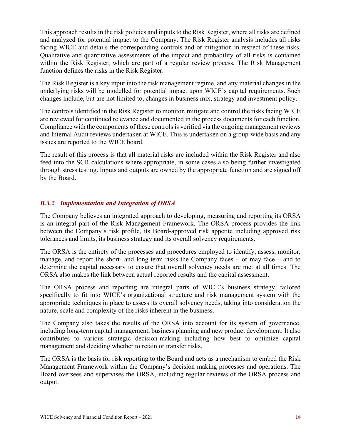This approach results in the risk policies and inputs to the Risk Register, where all risks are defined and analyzed for potential impact to the Company. The Risk Register analysis includes all risks facing WICE and details the corresponding controls and or mitigation in respect of these risks. Qualitative and quantitative assessments of the impact and probability of all risks is contained within the Risk Register, which are part of a regular review process. The Risk Management function defines the risks in the Risk Register.

The Risk Register is a key input into the risk management regime, and any material changes in the underlying risks will be modelled for potential impact upon WICE's capital requirements. Such changes include, but are not limited to, changes in business mix, strategy and investment policy.

The controls identified in the Risk Register to monitor, mitigate and control the risks facing WICE are reviewed for continued relevance and documented in the process documents for each function. Compliance with the components of these controls is verified via the ongoing management reviews and Internal Audit reviews undertaken at WICE. This is undertaken on a group-wide basis and any issues are reported to the WICE board.

The result of this process is that all material risks are included within the Risk Register and also feed into the SCR calculations where appropriate, in some cases also being further investigated through stress testing. Inputs and outputs are owned by the appropriate function and are signed off by the Board.

### *B.3.2 Implementation and Integration of ORSA*

The Company believes an integrated approach to developing, measuring and reporting its ORSA is an integral part of the Risk Management Framework. The ORSA process provides the link between the Company's risk profile, its Board-approved risk appetite including approved risk tolerances and limits, its business strategy and its overall solvency requirements.

The ORSA is the entirety of the processes and procedures employed to identify, assess, monitor, manage, and report the short- and long-term risks the Company faces – or may face – and to determine the capital necessary to ensure that overall solvency needs are met at all times. The ORSA also makes the link between actual reported results and the capital assessment.

The ORSA process and reporting are integral parts of WICE's business strategy, tailored specifically to fit into WICE's organizational structure and risk management system with the appropriate techniques in place to assess its overall solvency needs, taking into consideration the nature, scale and complexity of the risks inherent in the business.

The Company also takes the results of the ORSA into account for its system of governance, including long-term capital management, business planning and new product development. It also contributes to various strategic decision-making including how best to optimize capital management and deciding whether to retain or transfer risks.

The ORSA is the basis for risk reporting to the Board and acts as a mechanism to embed the Risk Management Framework within the Company's decision making processes and operations. The Board oversees and supervises the ORSA, including regular reviews of the ORSA process and output.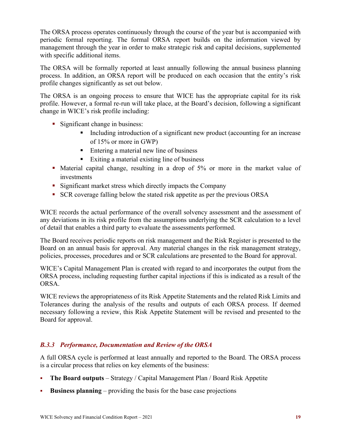The ORSA process operates continuously through the course of the year but is accompanied with periodic formal reporting. The formal ORSA report builds on the information viewed by management through the year in order to make strategic risk and capital decisions, supplemented with specific additional items.

The ORSA will be formally reported at least annually following the annual business planning process. In addition, an ORSA report will be produced on each occasion that the entity's risk profile changes significantly as set out below.

The ORSA is an ongoing process to ensure that WICE has the appropriate capital for its risk profile. However, a formal re-run will take place, at the Board's decision, following a significant change in WICE's risk profile including:

- Significant change in business:
	- Including introduction of a significant new product (accounting for an increase of 15% or more in GWP)
	- **Entering a material new line of business**
	- **Exiting a material existing line of business**
- Material capital change, resulting in a drop of 5% or more in the market value of investments
- **Significant market stress which directly impacts the Company**
- SCR coverage falling below the stated risk appetite as per the previous ORSA

WICE records the actual performance of the overall solvency assessment and the assessment of any deviations in its risk profile from the assumptions underlying the SCR calculation to a level of detail that enables a third party to evaluate the assessments performed.

The Board receives periodic reports on risk management and the Risk Register is presented to the Board on an annual basis for approval. Any material changes in the risk management strategy, policies, processes, procedures and or SCR calculations are presented to the Board for approval.

WICE's Capital Management Plan is created with regard to and incorporates the output from the ORSA process, including requesting further capital injections if this is indicated as a result of the ORSA.

WICE reviews the appropriateness of its Risk Appetite Statements and the related Risk Limits and Tolerances during the analysis of the results and outputs of each ORSA process. If deemed necessary following a review, this Risk Appetite Statement will be revised and presented to the Board for approval.

### *B.3.3 Performance, Documentation and Review of the ORSA*

A full ORSA cycle is performed at least annually and reported to the Board. The ORSA process is a circular process that relies on key elements of the business:

- **The Board outputs**  Strategy / Capital Management Plan / Board Risk Appetite
- **Business planning**  providing the basis for the base case projections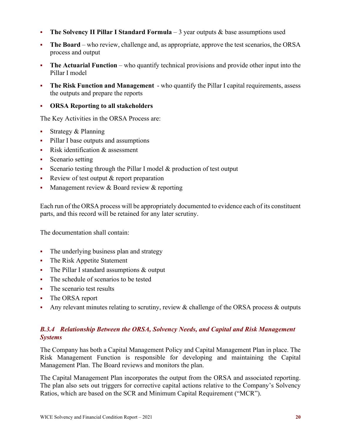- **The Solvency II Pillar I Standard Formula**  3 year outputs & base assumptions used
- **The Board**  who review, challenge and, as appropriate, approve the test scenarios, the ORSA process and output
- **The Actuarial Function** who quantify technical provisions and provide other input into the Pillar I model
- **The Risk Function and Management**  who quantify the Pillar I capital requirements, assess the outputs and prepare the reports

#### **ORSA Reporting to all stakeholders**

The Key Activities in the ORSA Process are:

- Strategy & Planning
- Pillar I base outputs and assumptions
- Risk identification & assessment
- Scenario setting
- Scenario testing through the Pillar I model  $\&$  production of test output
- Review of test output & report preparation
- Management review  $&$  Board review  $&$  reporting

Each run of the ORSA process will be appropriately documented to evidence each of its constituent parts, and this record will be retained for any later scrutiny.

The documentation shall contain:

- The underlying business plan and strategy
- The Risk Appetite Statement
- The Pillar I standard assumptions & output
- The schedule of scenarios to be tested
- The scenario test results
- The ORSA report
- Any relevant minutes relating to scrutiny, review & challenge of the ORSA process & outputs

#### *B.3.4 Relationship Between the ORSA, Solvency Needs, and Capital and Risk Management Systems*

The Company has both a Capital Management Policy and Capital Management Plan in place. The Risk Management Function is responsible for developing and maintaining the Capital Management Plan. The Board reviews and monitors the plan.

The Capital Management Plan incorporates the output from the ORSA and associated reporting. The plan also sets out triggers for corrective capital actions relative to the Company's Solvency Ratios, which are based on the SCR and Minimum Capital Requirement ("MCR").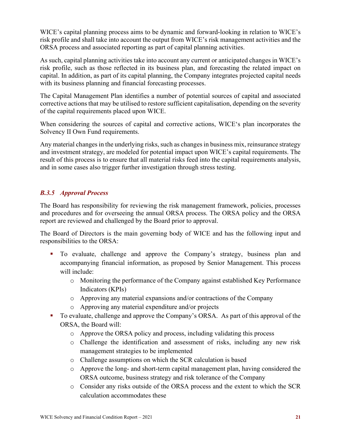WICE's capital planning process aims to be dynamic and forward-looking in relation to WICE's risk profile and shall take into account the output from WICE's risk management activities and the ORSA process and associated reporting as part of capital planning activities.

As such, capital planning activities take into account any current or anticipated changes in WICE's risk profile, such as those reflected in its business plan, and forecasting the related impact on capital. In addition, as part of its capital planning, the Company integrates projected capital needs with its business planning and financial forecasting processes.

The Capital Management Plan identifies a number of potential sources of capital and associated corrective actions that may be utilised to restore sufficient capitalisation, depending on the severity of the capital requirements placed upon WICE.

When considering the sources of capital and corrective actions, WICE's plan incorporates the Solvency II Own Fund requirements.

Any material changes in the underlying risks, such as changes in business mix, reinsurance strategy and investment strategy, are modeled for potential impact upon WICE's capital requirements. The result of this process is to ensure that all material risks feed into the capital requirements analysis, and in some cases also trigger further investigation through stress testing.

### *B.3.5 Approval Process*

The Board has responsibility for reviewing the risk management framework, policies, processes and procedures and for overseeing the annual ORSA process. The ORSA policy and the ORSA report are reviewed and challenged by the Board prior to approval.

The Board of Directors is the main governing body of WICE and has the following input and responsibilities to the ORSA:

- To evaluate, challenge and approve the Company's strategy, business plan and accompanying financial information, as proposed by Senior Management. This process will include:
	- o Monitoring the performance of the Company against established Key Performance Indicators (KPIs)
	- o Approving any material expansions and/or contractions of the Company
	- o Approving any material expenditure and/or projects
- To evaluate, challenge and approve the Company's ORSA. As part of this approval of the ORSA, the Board will:
	- o Approve the ORSA policy and process, including validating this process
	- o Challenge the identification and assessment of risks, including any new risk management strategies to be implemented
	- o Challenge assumptions on which the SCR calculation is based
	- o Approve the long- and short-term capital management plan, having considered the ORSA outcome, business strategy and risk tolerance of the Company
	- o Consider any risks outside of the ORSA process and the extent to which the SCR calculation accommodates these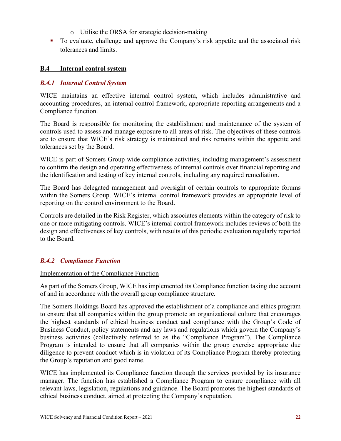- o Utilise the ORSA for strategic decision-making
- To evaluate, challenge and approve the Company's risk appetite and the associated risk tolerances and limits.

#### <span id="page-24-0"></span>**B.4 Internal control system**

#### *B.4.1 Internal Control System*

WICE maintains an effective internal control system, which includes administrative and accounting procedures, an internal control framework, appropriate reporting arrangements and a Compliance function.

The Board is responsible for monitoring the establishment and maintenance of the system of controls used to assess and manage exposure to all areas of risk. The objectives of these controls are to ensure that WICE's risk strategy is maintained and risk remains within the appetite and tolerances set by the Board.

WICE is part of Somers Group-wide compliance activities, including management's assessment to confirm the design and operating effectiveness of internal controls over financial reporting and the identification and testing of key internal controls, including any required remediation.

The Board has delegated management and oversight of certain controls to appropriate forums within the Somers Group. WICE's internal control framework provides an appropriate level of reporting on the control environment to the Board.

Controls are detailed in the Risk Register, which associates elements within the category of risk to one or more mitigating controls. WICE's internal control framework includes reviews of both the design and effectiveness of key controls, with results of this periodic evaluation regularly reported to the Board.

#### *B.4.2 Compliance Function*

#### Implementation of the Compliance Function

As part of the Somers Group, WICE has implemented its Compliance function taking due account of and in accordance with the overall group compliance structure.

The Somers Holdings Board has approved the establishment of a compliance and ethics program to ensure that all companies within the group promote an organizational culture that encourages the highest standards of ethical business conduct and compliance with the Group's Code of Business Conduct, policy statements and any laws and regulations which govern the Company's business activities (collectively referred to as the "Compliance Program"). The Compliance Program is intended to ensure that all companies within the group exercise appropriate due diligence to prevent conduct which is in violation of its Compliance Program thereby protecting the Group's reputation and good name.

WICE has implemented its Compliance function through the services provided by its insurance manager. The function has established a Compliance Program to ensure compliance with all relevant laws, legislation, regulations and guidance. The Board promotes the highest standards of ethical business conduct, aimed at protecting the Company's reputation.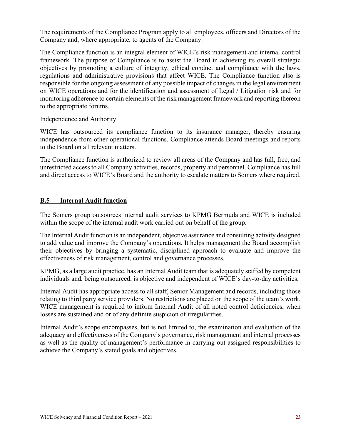The requirements of the Compliance Program apply to all employees, officers and Directors of the Company and, where appropriate, to agents of the Company.

The Compliance function is an integral element of WICE's risk management and internal control framework. The purpose of Compliance is to assist the Board in achieving its overall strategic objectives by promoting a culture of integrity, ethical conduct and compliance with the laws, regulations and administrative provisions that affect WICE. The Compliance function also is responsible for the ongoing assessment of any possible impact of changes in the legal environment on WICE operations and for the identification and assessment of Legal / Litigation risk and for monitoring adherence to certain elements of the risk management framework and reporting thereon to the appropriate forums.

#### Independence and Authority

WICE has outsourced its compliance function to its insurance manager, thereby ensuring independence from other operational functions. Compliance attends Board meetings and reports to the Board on all relevant matters.

The Compliance function is authorized to review all areas of the Company and has full, free, and unrestricted access to all Company activities, records, property and personnel. Compliance has full and direct access to WICE's Board and the authority to escalate matters to Somers where required.

#### <span id="page-25-0"></span>**B.5 Internal Audit function**

The Somers group outsources internal audit services to KPMG Bermuda and WICE is included within the scope of the internal audit work carried out on behalf of the group.

The Internal Audit function is an independent, objective assurance and consulting activity designed to add value and improve the Company's operations. It helps management the Board accomplish their objectives by bringing a systematic, disciplined approach to evaluate and improve the effectiveness of risk management, control and governance processes.

KPMG, as a large audit practice, has an Internal Audit team that is adequately staffed by competent individuals and, being outsourced, is objective and independent of WICE's day-to-day activities.

Internal Audit has appropriate access to all staff, Senior Management and records, including those relating to third party service providers. No restrictions are placed on the scope of the team's work. WICE management is required to inform Internal Audit of all noted control deficiencies, when losses are sustained and or of any definite suspicion of irregularities.

Internal Audit's scope encompasses, but is not limited to, the examination and evaluation of the adequacy and effectiveness of the Company's governance, risk management and internal processes as well as the quality of management's performance in carrying out assigned responsibilities to achieve the Company's stated goals and objectives.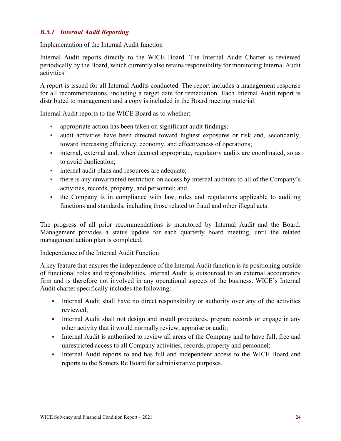#### *B.5.1 Internal Audit Reporting*

#### Implementation of the Internal Audit function

Internal Audit reports directly to the WICE Board. The Internal Audit Charter is reviewed periodically by the Board, which currently also retains responsibility for monitoring Internal Audit activities.

A report is issued for all Internal Audits conducted. The report includes a management response for all recommendations, including a target date for remediation. Each Internal Audit report is distributed to management and a copy is included in the Board meeting material.

Internal Audit reports to the WICE Board as to whether:

- appropriate action has been taken on significant audit findings;
- audit activities have been directed toward highest exposures or risk and, secondarily, toward increasing efficiency, economy, and effectiveness of operations;
- internal, external and, when deemed appropriate, regulatory audits are coordinated, so as to avoid duplication;
- **i** internal audit plans and resources are adequate;
- there is any unwarranted restriction on access by internal auditors to all of the Company's activities, records, property, and personnel; and
- the Company is in compliance with law, rules and regulations applicable to auditing functions and standards, including those related to fraud and other illegal acts.

The progress of all prior recommendations is monitored by Internal Audit and the Board. Management provides a status update for each quarterly board meeting, until the related management action plan is completed.

#### Independence of the Internal Audit Function

A key feature that ensures the independence of the Internal Audit function is its positioning outside of functional roles and responsibilities. Internal Audit is outsourced to an external accountancy firm and is therefore not involved in any operational aspects of the business. WICE's Internal Audit charter specifically includes the following:

- Internal Audit shall have no direct responsibility or authority over any of the activities reviewed;
- Internal Audit shall not design and install procedures, prepare records or engage in any other activity that it would normally review, appraise or audit;
- Internal Audit is authorised to review all areas of the Company and to have full, free and unrestricted access to all Company activities, records, property and personnel;
- Internal Audit reports to and has full and independent access to the WICE Board and reports to the Somers Re Board for administrative purposes.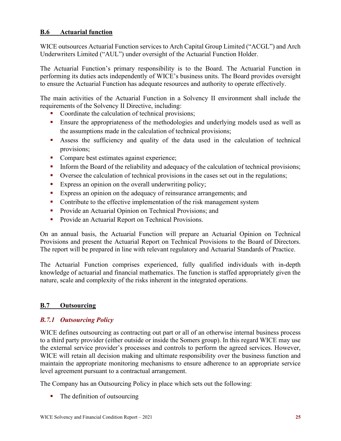<span id="page-27-0"></span>WICE outsources Actuarial Function services to Arch Capital Group Limited ("ACGL") and Arch Underwriters Limited ("AUL") under oversight of the Actuarial Function Holder.

The Actuarial Function's primary responsibility is to the Board. The Actuarial Function in performing its duties acts independently of WICE's business units. The Board provides oversight to ensure the Actuarial Function has adequate resources and authority to operate effectively.

The main activities of the Actuarial Function in a Solvency II environment shall include the requirements of the Solvency II Directive, including:

- Coordinate the calculation of technical provisions;
- Ensure the appropriateness of the methodologies and underlying models used as well as the assumptions made in the calculation of technical provisions;
- Assess the sufficiency and quality of the data used in the calculation of technical provisions;
- Compare best estimates against experience;
- Inform the Board of the reliability and adequacy of the calculation of technical provisions;
- Oversee the calculation of technical provisions in the cases set out in the regulations;
- Express an opinion on the overall underwriting policy;
- **Express an opinion on the adequacy of reinsurance arrangements; and**
- Contribute to the effective implementation of the risk management system
- **Provide an Actuarial Opinion on Technical Provisions; and**
- **Provide an Actuarial Report on Technical Provisions.**

On an annual basis, the Actuarial Function will prepare an Actuarial Opinion on Technical Provisions and present the Actuarial Report on Technical Provisions to the Board of Directors. The report will be prepared in line with relevant regulatory and Actuarial Standards of Practice.

The Actuarial Function comprises experienced, fully qualified individuals with in-depth knowledge of actuarial and financial mathematics. The function is staffed appropriately given the nature, scale and complexity of the risks inherent in the integrated operations.

### <span id="page-27-1"></span>**B.7 Outsourcing**

#### *B.7.1 Outsourcing Policy*

WICE defines outsourcing as contracting out part or all of an otherwise internal business process to a third party provider (either outside or inside the Somers group). In this regard WICE may use the external service provider's processes and controls to perform the agreed services. However, WICE will retain all decision making and ultimate responsibility over the business function and maintain the appropriate monitoring mechanisms to ensure adherence to an appropriate service level agreement pursuant to a contractual arrangement.

The Company has an Outsourcing Policy in place which sets out the following:

• The definition of outsourcing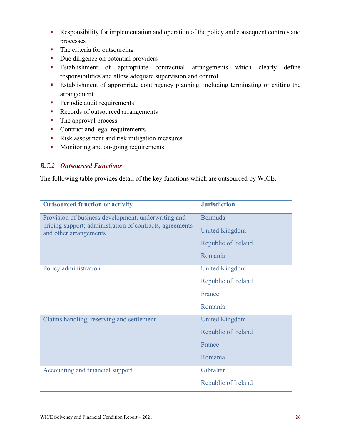- Responsibility for implementation and operation of the policy and consequent controls and processes
- The criteria for outsourcing
- Due diligence on potential providers
- Establishment of appropriate contractual arrangements which clearly define responsibilities and allow adequate supervision and control
- Establishment of appropriate contingency planning, including terminating or exiting the arrangement
- **Periodic audit requirements**
- Records of outsourced arrangements
- The approval process
- Contract and legal requirements
- Risk assessment and risk mitigation measures
- **Monitoring and on-going requirements**

### *B.7.2 Outsourced Functions*

The following table provides detail of the key functions which are outsourced by WICE.

| <b>Outsourced function or activity</b>                                             | <b>Jurisdiction</b>   |
|------------------------------------------------------------------------------------|-----------------------|
| Provision of business development, underwriting and                                | Bermuda               |
| pricing support; administration of contracts, agreements<br>and other arrangements | <b>United Kingdom</b> |
|                                                                                    | Republic of Ireland   |
|                                                                                    | Romania               |
| Policy administration                                                              | <b>United Kingdom</b> |
|                                                                                    | Republic of Ireland   |
|                                                                                    | France                |
|                                                                                    | Romania               |
| Claims handling, reserving and settlement                                          | <b>United Kingdom</b> |
|                                                                                    | Republic of Ireland   |
|                                                                                    | France                |
|                                                                                    | Romania               |
| Accounting and financial support                                                   | Gibraltar             |
|                                                                                    | Republic of Ireland   |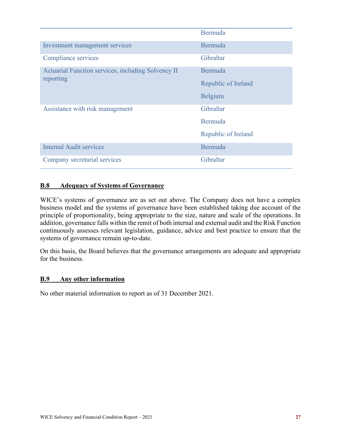|                                                                 | Bermuda             |
|-----------------------------------------------------------------|---------------------|
| Investment management services                                  | Bermuda             |
| <b>Compliance services</b>                                      | Gibraltar           |
| Actuarial Function services, including Solvency II<br>reporting | Bermuda             |
|                                                                 | Republic of Ireland |
|                                                                 | Belgium             |
| Assistance with risk management                                 | Gibraltar           |
|                                                                 | Bermuda             |
|                                                                 | Republic of Ireland |
| <b>Internal Audit services</b>                                  | Bermuda             |
| Company secretarial services                                    | Gibraltar           |

#### **B.8 Adequacy of Systems of Governance**

WICE's systems of governance are as set out above. The Company does not have a complex business model and the systems of governance have been established taking due account of the principle of proportionality, being appropriate to the size, nature and scale of the operations. In addition, governance falls within the remit of both internal and external audit and the Risk Function continuously assesses relevant legislation, guidance, advice and best practice to ensure that the systems of governance remain up-to-date.

On this basis, the Board believes that the governance arrangements are adequate and appropriate for the business.

#### <span id="page-29-0"></span>**B.9 Any other information**

No other material information to report as of 31 December 2021.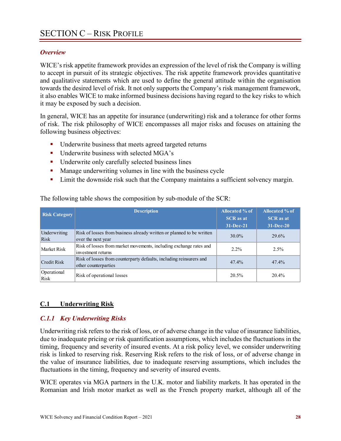#### <span id="page-30-0"></span>*Overview*

WICE's risk appetite framework provides an expression of the level of risk the Company is willing to accept in pursuit of its strategic objectives. The risk appetite framework provides quantitative and qualitative statements which are used to define the general attitude within the organisation towards the desired level of risk. It not only supports the Company's risk management framework, it also enables WICE to make informed business decisions having regard to the key risks to which it may be exposed by such a decision.

In general, WICE has an appetite for insurance (underwriting) risk and a tolerance for other forms of risk. The risk philosophy of WICE encompasses all major risks and focuses on attaining the following business objectives:

- **•** Underwrite business that meets agreed targeted returns
- Underwrite business with selected MGA's
- Underwrite only carefully selected business lines
- **Manage underwriting volumes in line with the business cycle**
- **EXECUTE:** Limit the downside risk such that the Company maintains a sufficient solvency margin.

| <b>Risk Category</b> | <b>Description</b>                                                                          | <b>Allocated % of</b><br><b>SCR</b> as at<br>31-Dec-21 | Allocated % of<br><b>SCR</b> as at<br>$31 - Dec-20$ |
|----------------------|---------------------------------------------------------------------------------------------|--------------------------------------------------------|-----------------------------------------------------|
| Underwriting<br>Risk | Risk of losses from business already written or planned to be written<br>over the next year | $30.0\%$                                               | 29.6%                                               |
| Market Risk          | Risk of losses from market movements, including exchange rates and<br>investment returns    | $2.2\%$                                                | 2.5%                                                |
| Credit Risk          | Risk of losses from counterparty defaults, including reinsurers and<br>other counterparties | 47.4%                                                  | $47.4\%$                                            |
| Operational<br>Risk  | Risk of operational losses                                                                  | 20.5%                                                  | 20.4%                                               |

The following table shows the composition by sub-module of the SCR:

#### <span id="page-30-1"></span>**C.1 Underwriting Risk**

#### *C.1.1 Key Underwriting Risks*

Underwriting risk refers to the risk of loss, or of adverse change in the value of insurance liabilities, due to inadequate pricing or risk quantification assumptions, which includes the fluctuations in the timing, frequency and severity of insured events. At a risk policy level, we consider underwriting risk is linked to reserving risk. Reserving Risk refers to the risk of loss, or of adverse change in the value of insurance liabilities, due to inadequate reserving assumptions, which includes the fluctuations in the timing, frequency and severity of insured events.

WICE operates via MGA partners in the U.K. motor and liability markets. It has operated in the Romanian and Irish motor market as well as the French property market, although all of the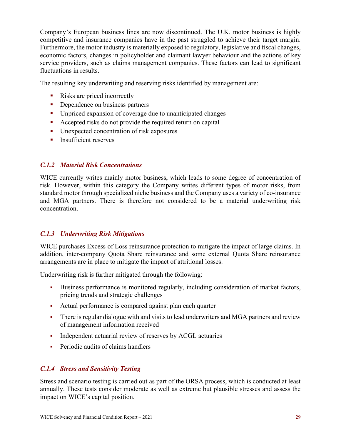Company's European business lines are now discontinued. The U.K. motor business is highly competitive and insurance companies have in the past struggled to achieve their target margin. Furthermore, the motor industry is materially exposed to regulatory, legislative and fiscal changes, economic factors, changes in policyholder and claimant lawyer behaviour and the actions of key service providers, such as claims management companies. These factors can lead to significant fluctuations in results.

The resulting key underwriting and reserving risks identified by management are:

- Risks are priced incorrectly
- Dependence on business partners
- **Unpriced expansion of coverage due to unanticipated changes**
- Accepted risks do not provide the required return on capital
- **Unexpected concentration of risk exposures**
- **Insufficient reserves**

#### *C.1.2 Material Risk Concentrations*

WICE currently writes mainly motor business, which leads to some degree of concentration of risk. However, within this category the Company writes different types of motor risks, from standard motor through specialized niche business and the Company uses a variety of co-insurance and MGA partners. There is therefore not considered to be a material underwriting risk concentration.

#### *C.1.3 Underwriting Risk Mitigations*

WICE purchases Excess of Loss reinsurance protection to mitigate the impact of large claims. In addition, inter-company Quota Share reinsurance and some external Quota Share reinsurance arrangements are in place to mitigate the impact of attritional losses.

Underwriting risk is further mitigated through the following:

- Business performance is monitored regularly, including consideration of market factors, pricing trends and strategic challenges
- Actual performance is compared against plan each quarter
- There is regular dialogue with and visits to lead underwriters and MGA partners and review of management information received
- Independent actuarial review of reserves by ACGL actuaries
- Periodic audits of claims handlers

#### *C.1.4 Stress and Sensitivity Testing*

Stress and scenario testing is carried out as part of the ORSA process, which is conducted at least annually. These tests consider moderate as well as extreme but plausible stresses and assess the impact on WICE's capital position.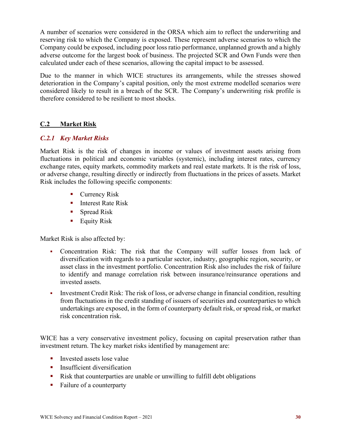A number of scenarios were considered in the ORSA which aim to reflect the underwriting and reserving risk to which the Company is exposed. These represent adverse scenarios to which the Company could be exposed, including poor loss ratio performance, unplanned growth and a highly adverse outcome for the largest book of business. The projected SCR and Own Funds were then calculated under each of these scenarios, allowing the capital impact to be assessed.

Due to the manner in which WICE structures its arrangements, while the stresses showed deterioration in the Company's capital position, only the most extreme modelled scenarios were considered likely to result in a breach of the SCR. The Company's underwriting risk profile is therefore considered to be resilient to most shocks.

#### <span id="page-32-0"></span>**C.2 Market Risk**

#### *C.2.1 Key Market Risks*

Market Risk is the risk of changes in income or values of investment assets arising from fluctuations in political and economic variables (systemic), including interest rates, currency exchange rates, equity markets, commodity markets and real estate markets. It is the risk of loss, or adverse change, resulting directly or indirectly from fluctuations in the prices of assets. Market Risk includes the following specific components:

- Currency Risk
- $\blacksquare$  Interest Rate Risk
- **Spread Risk**
- $\blacksquare$  Equity Risk

Market Risk is also affected by:

- Concentration Risk: The risk that the Company will suffer losses from lack of diversification with regards to a particular sector, industry, geographic region, security, or asset class in the investment portfolio. Concentration Risk also includes the risk of failure to identify and manage correlation risk between insurance/reinsurance operations and invested assets.
- Investment Credit Risk: The risk of loss, or adverse change in financial condition, resulting from fluctuations in the credit standing of issuers of securities and counterparties to which undertakings are exposed, in the form of counterparty default risk, or spread risk, or market risk concentration risk.

WICE has a very conservative investment policy, focusing on capital preservation rather than investment return. The key market risks identified by management are:

- **I** Invested assets lose value
- **Insufficient diversification**
- Risk that counterparties are unable or unwilling to fulfill debt obligations
- Failure of a counterparty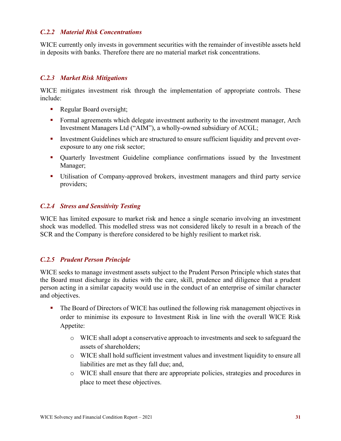#### *C.2.2 Material Risk Concentrations*

WICE currently only invests in government securities with the remainder of investible assets held in deposits with banks. Therefore there are no material market risk concentrations.

#### *C.2.3 Market Risk Mitigations*

WICE mitigates investment risk through the implementation of appropriate controls. These include:

- Regular Board oversight;
- Formal agreements which delegate investment authority to the investment manager, Arch Investment Managers Ltd ("AIM"), a wholly-owned subsidiary of ACGL;
- Investment Guidelines which are structured to ensure sufficient liquidity and prevent overexposure to any one risk sector;
- Quarterly Investment Guideline compliance confirmations issued by the Investment Manager;
- Utilisation of Company-approved brokers, investment managers and third party service providers;

#### *C.2.4 Stress and Sensitivity Testing*

WICE has limited exposure to market risk and hence a single scenario involving an investment shock was modelled. This modelled stress was not considered likely to result in a breach of the SCR and the Company is therefore considered to be highly resilient to market risk.

#### *C.2.5 Prudent Person Principle*

WICE seeks to manage investment assets subject to the Prudent Person Principle which states that the Board must discharge its duties with the care, skill, prudence and diligence that a prudent person acting in a similar capacity would use in the conduct of an enterprise of similar character and objectives.

- The Board of Directors of WICE has outlined the following risk management objectives in order to minimise its exposure to Investment Risk in line with the overall WICE Risk Appetite:
	- o WICE shall adopt a conservative approach to investments and seek to safeguard the assets of shareholders;
	- o WICE shall hold sufficient investment values and investment liquidity to ensure all liabilities are met as they fall due; and,
	- o WICE shall ensure that there are appropriate policies, strategies and procedures in place to meet these objectives.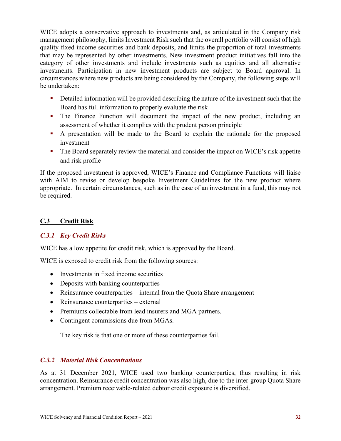WICE adopts a conservative approach to investments and, as articulated in the Company risk management philosophy, limits Investment Risk such that the overall portfolio will consist of high quality fixed income securities and bank deposits, and limits the proportion of total investments that may be represented by other investments. New investment product initiatives fall into the category of other investments and include investments such as equities and all alternative investments. Participation in new investment products are subject to Board approval. In circumstances where new products are being considered by the Company, the following steps will be undertaken:

- Detailed information will be provided describing the nature of the investment such that the Board has full information to properly evaluate the risk
- The Finance Function will document the impact of the new product, including an assessment of whether it complies with the prudent person principle
- A presentation will be made to the Board to explain the rationale for the proposed investment
- The Board separately review the material and consider the impact on WICE's risk appetite and risk profile

If the proposed investment is approved, WICE's Finance and Compliance Functions will liaise with AIM to revise or develop bespoke Investment Guidelines for the new product where appropriate. In certain circumstances, such as in the case of an investment in a fund, this may not be required.

#### <span id="page-34-0"></span>**C.3 Credit Risk**

#### *C.3.1 Key Credit Risks*

WICE has a low appetite for credit risk, which is approved by the Board.

WICE is exposed to credit risk from the following sources:

- Investments in fixed income securities
- Deposits with banking counterparties
- Reinsurance counterparties internal from the Quota Share arrangement
- Reinsurance counterparties external
- Premiums collectable from lead insurers and MGA partners.
- Contingent commissions due from MGAs.

The key risk is that one or more of these counterparties fail.

#### *C.3.2 Material Risk Concentrations*

As at 31 December 2021, WICE used two banking counterparties, thus resulting in risk concentration. Reinsurance credit concentration was also high, due to the inter-group Quota Share arrangement. Premium receivable-related debtor credit exposure is diversified.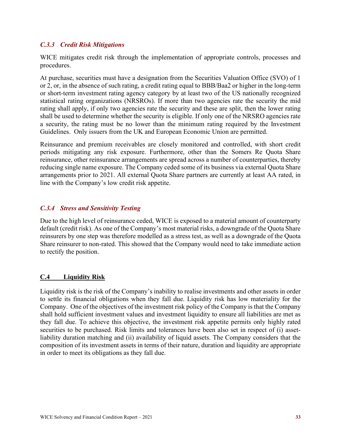#### *C.3.3 Credit Risk Mitigations*

WICE mitigates credit risk through the implementation of appropriate controls, processes and procedures.

At purchase, securities must have a designation from the Securities Valuation Office (SVO) of 1 or 2, or, in the absence of such rating, a credit rating equal to BBB/Baa2 or higher in the long-term or short-term investment rating agency category by at least two of the US nationally recognized statistical rating organizations (NRSROs). If more than two agencies rate the security the mid rating shall apply, if only two agencies rate the security and these are split, then the lower rating shall be used to determine whether the security is eligible. If only one of the NRSRO agencies rate a security, the rating must be no lower than the minimum rating required by the Investment Guidelines. Only issuers from the UK and European Economic Union are permitted.

Reinsurance and premium receivables are closely monitored and controlled, with short credit periods mitigating any risk exposure. Furthermore, other than the Somers Re Quota Share reinsurance, other reinsurance arrangements are spread across a number of counterparties, thereby reducing single name exposure. The Company ceded some of its business via external Quota Share arrangements prior to 2021. All external Quota Share partners are currently at least AA rated, in line with the Company's low credit risk appetite.

#### *C.3.4 Stress and Sensitivity Testing*

Due to the high level of reinsurance ceded, WICE is exposed to a material amount of counterparty default (credit risk). As one of the Company's most material risks, a downgrade of the Quota Share reinsurers by one step was therefore modelled as a stress test, as well as a downgrade of the Quota Share reinsurer to non-rated. This showed that the Company would need to take immediate action to rectify the position.

#### <span id="page-35-0"></span>**C.4 Liquidity Risk**

Liquidity risk is the risk of the Company's inability to realise investments and other assets in order to settle its financial obligations when they fall due. Liquidity risk has low materiality for the Company. One of the objectives of the investment risk policy of the Company is that the Company shall hold sufficient investment values and investment liquidity to ensure all liabilities are met as they fall due. To achieve this objective, the investment risk appetite permits only highly rated securities to be purchased. Risk limits and tolerances have been also set in respect of (i) assetliability duration matching and (ii) availability of liquid assets. The Company considers that the composition of its investment assets in terms of their nature, duration and liquidity are appropriate in order to meet its obligations as they fall due.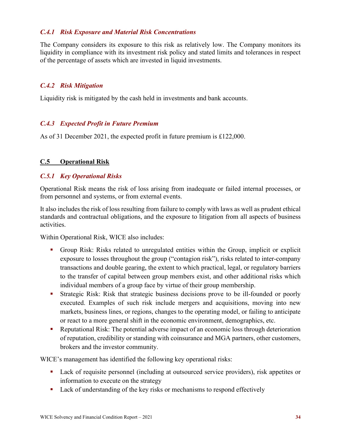#### *C.4.1 Risk Exposure and Material Risk Concentrations*

The Company considers its exposure to this risk as relatively low. The Company monitors its liquidity in compliance with its investment risk policy and stated limits and tolerances in respect of the percentage of assets which are invested in liquid investments.

#### *C.4.2 Risk Mitigation*

Liquidity risk is mitigated by the cash held in investments and bank accounts.

#### *C.4.3 Expected Profit in Future Premium*

As of 31 December 2021, the expected profit in future premium is £122,000.

#### <span id="page-36-0"></span>**C.5 Operational Risk**

#### *C.5.1 Key Operational Risks*

Operational Risk means the risk of loss arising from inadequate or failed internal processes, or from personnel and systems, or from external events.

It also includes the risk of loss resulting from failure to comply with laws as well as prudent ethical standards and contractual obligations, and the exposure to litigation from all aspects of business activities.

Within Operational Risk, WICE also includes:

- Group Risk: Risks related to unregulated entities within the Group, implicit or explicit exposure to losses throughout the group ("contagion risk"), risks related to inter-company transactions and double gearing, the extent to which practical, legal, or regulatory barriers to the transfer of capital between group members exist, and other additional risks which individual members of a group face by virtue of their group membership.
- Strategic Risk: Risk that strategic business decisions prove to be ill-founded or poorly executed. Examples of such risk include mergers and acquisitions, moving into new markets, business lines, or regions, changes to the operating model, or failing to anticipate or react to a more general shift in the economic environment, demographics, etc.
- Reputational Risk: The potential adverse impact of an economic loss through deterioration of reputation, credibility or standing with coinsurance and MGA partners, other customers, brokers and the investor community.

WICE's management has identified the following key operational risks:

- Lack of requisite personnel (including at outsourced service providers), risk appetites or information to execute on the strategy
- Lack of understanding of the key risks or mechanisms to respond effectively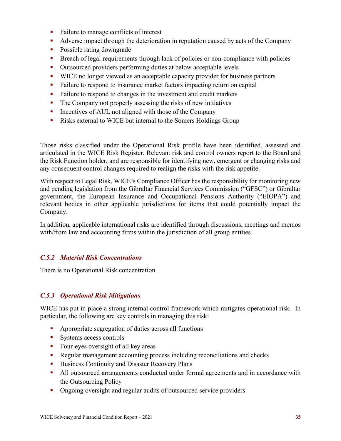- Failure to manage conflicts of interest
- Adverse impact through the deterioration in reputation caused by acts of the Company
- **Possible rating downgrade**
- **Breach of legal requirements through lack of policies or non-compliance with policies**
- Outsourced providers performing duties at below acceptable levels
- WICE no longer viewed as an acceptable capacity provider for business partners
- Failure to respond to insurance market factors impacting return on capital
- Failure to respond to changes in the investment and credit markets
- The Company not properly assessing the risks of new initiatives
- Incentives of AUL not aligned with those of the Company
- Risks external to WICE but internal to the Somers Holdings Group

Those risks classified under the Operational Risk profile have been identified, assessed and articulated in the WICE Risk Register. Relevant risk and control owners report to the Board and the Risk Function holder, and are responsible for identifying new, emergent or changing risks and any consequent control changes required to realign the risks with the risk appetite.

With respect to Legal Risk, WICE's Compliance Officer has the responsibility for monitoring new and pending legislation from the Gibraltar Financial Services Commission ("GFSC") or Gibraltar government, the European Insurance and Occupational Pensions Authority ("EIOPA") and relevant bodies in other applicable jurisdictions for items that could potentially impact the Company.

In addition, applicable international risks are identified through discussions, meetings and memos with/from law and accounting firms within the jurisdiction of all group entities.

#### *C.5.2 Material Risk Concentrations*

There is no Operational Risk concentration.

#### *C.5.3 Operational Risk Mitigations*

WICE has put in place a strong internal control framework which mitigates operational risk. In particular, the following are key controls in managing this risk:

- Appropriate segregation of duties across all functions
- Systems access controls
- Four-eyes oversight of all key areas
- Regular management accounting process including reconciliations and checks
- Business Continuity and Disaster Recovery Plans
- All outsourced arrangements conducted under formal agreements and in accordance with the Outsourcing Policy
- Ongoing oversight and regular audits of outsourced service providers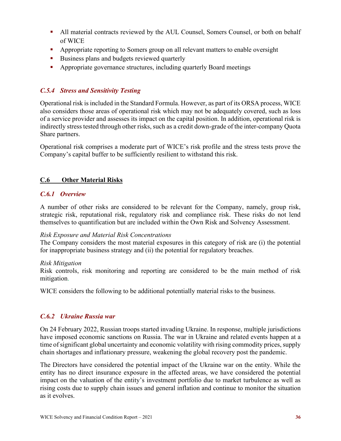- All material contracts reviewed by the AUL Counsel, Somers Counsel, or both on behalf of WICE
- Appropriate reporting to Somers group on all relevant matters to enable oversight
- Business plans and budgets reviewed quarterly
- Appropriate governance structures, including quarterly Board meetings

### *C.5.4 Stress and Sensitivity Testing*

Operational risk is included in the Standard Formula. However, as part of its ORSA process, WICE also considers those areas of operational risk which may not be adequately covered, such as loss of a service provider and assesses its impact on the capital position. In addition, operational risk is indirectly stress tested through other risks, such as a credit down-grade of the inter-company Quota Share partners.

Operational risk comprises a moderate part of WICE's risk profile and the stress tests prove the Company's capital buffer to be sufficiently resilient to withstand this risk.

#### <span id="page-38-0"></span>**C.6 Other Material Risks**

#### *C.6.1 Overview*

A number of other risks are considered to be relevant for the Company, namely, group risk, strategic risk, reputational risk, regulatory risk and compliance risk. These risks do not lend themselves to quantification but are included within the Own Risk and Solvency Assessment.

#### *Risk Exposure and Material Risk Concentrations*

The Company considers the most material exposures in this category of risk are (i) the potential for inappropriate business strategy and (ii) the potential for regulatory breaches.

#### *Risk Mitigation*

Risk controls, risk monitoring and reporting are considered to be the main method of risk mitigation.

WICE considers the following to be additional potentially material risks to the business.

#### *C.6.2 Ukraine Russia war*

On 24 February 2022, Russian troops started invading Ukraine. In response, multiple jurisdictions have imposed economic sanctions on Russia. The war in Ukraine and related events happen at a time of significant global uncertainty and economic volatility with rising commodity prices, supply chain shortages and inflationary pressure, weakening the global recovery post the pandemic.

The Directors have considered the potential impact of the Ukraine war on the entity. While the entity has no direct insurance exposure in the affected areas, we have considered the potential impact on the valuation of the entity's investment portfolio due to market turbulence as well as rising costs due to supply chain issues and general inflation and continue to monitor the situation as it evolves.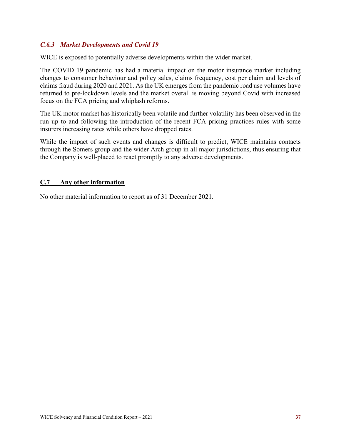#### *C.6.3 Market Developments and Covid 19*

WICE is exposed to potentially adverse developments within the wider market.

The COVID 19 pandemic has had a material impact on the motor insurance market including changes to consumer behaviour and policy sales, claims frequency, cost per claim and levels of claims fraud during 2020 and 2021. As the UK emerges from the pandemic road use volumes have returned to pre-lockdown levels and the market overall is moving beyond Covid with increased focus on the FCA pricing and whiplash reforms.

The UK motor market has historically been volatile and further volatility has been observed in the run up to and following the introduction of the recent FCA pricing practices rules with some insurers increasing rates while others have dropped rates.

While the impact of such events and changes is difficult to predict, WICE maintains contacts through the Somers group and the wider Arch group in all major jurisdictions, thus ensuring that the Company is well-placed to react promptly to any adverse developments.

#### <span id="page-39-0"></span>**C.7 Any other information**

No other material information to report as of 31 December 2021.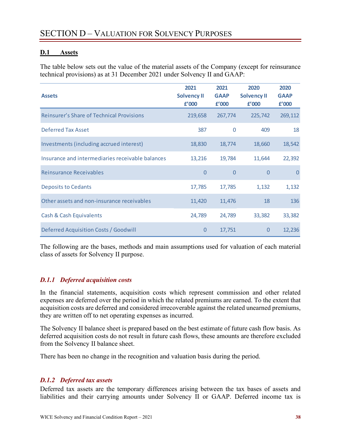#### <span id="page-40-1"></span><span id="page-40-0"></span>**D.1 Assets**

The table below sets out the value of the material assets of the Company (except for reinsurance technical provisions) as at 31 December 2021 under Solvency II and GAAP:

| <b>Assets</b>                                    | 2021<br><b>Solvency II</b><br>f'000 | 2021<br><b>GAAP</b><br>f'000 | 2020<br><b>Solvency II</b><br>f'000 | 2020<br><b>GAAP</b><br>f'000 |
|--------------------------------------------------|-------------------------------------|------------------------------|-------------------------------------|------------------------------|
| <b>Reinsurer's Share of Technical Provisions</b> | 219,658                             | 267,774                      | 225,742                             | 269,112                      |
| <b>Deferred Tax Asset</b>                        | 387                                 | 0                            | 409                                 | 18                           |
| Investments (including accrued interest)         | 18,830                              | 18,774                       | 18,660                              | 18,542                       |
| Insurance and intermediaries receivable balances | 13,216                              | 19,784                       | 11,644                              | 22,392                       |
| <b>Reinsurance Receivables</b>                   | $\overline{0}$                      | $\overline{0}$               | $\overline{0}$                      | $\Omega$                     |
| <b>Deposits to Cedants</b>                       | 17,785                              | 17,785                       | 1,132                               | 1,132                        |
| Other assets and non-insurance receivables       | 11,420                              | 11,476                       | 18                                  | 136                          |
| <b>Cash &amp; Cash Equivalents</b>               | 24,789                              | 24,789                       | 33,382                              | 33,382                       |
| Deferred Acquisition Costs / Goodwill            | $\overline{0}$                      | 17,751                       | $\overline{0}$                      | 12,236                       |

The following are the bases, methods and main assumptions used for valuation of each material class of assets for Solvency II purpose.

#### *D.1.1 Deferred acquisition costs*

In the financial statements, acquisition costs which represent commission and other related expenses are deferred over the period in which the related premiums are earned. To the extent that acquisition costs are deferred and considered irrecoverable against the related unearned premiums, they are written off to net operating expenses as incurred.

The Solvency II balance sheet is prepared based on the best estimate of future cash flow basis. As deferred acquisition costs do not result in future cash flows, these amounts are therefore excluded from the Solvency II balance sheet.

There has been no change in the recognition and valuation basis during the period.

#### *D.1.2 Deferred tax assets*

Deferred tax assets are the temporary differences arising between the tax bases of assets and liabilities and their carrying amounts under Solvency II or GAAP. Deferred income tax is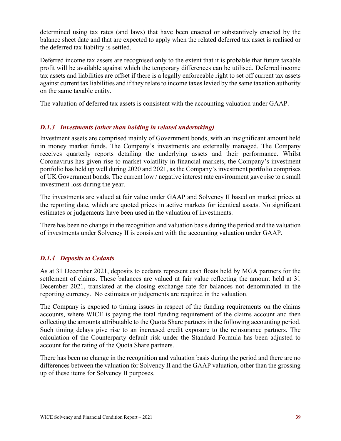determined using tax rates (and laws) that have been enacted or substantively enacted by the balance sheet date and that are expected to apply when the related deferred tax asset is realised or the deferred tax liability is settled.

Deferred income tax assets are recognised only to the extent that it is probable that future taxable profit will be available against which the temporary differences can be utilised. Deferred income tax assets and liabilities are offset if there is a legally enforceable right to set off current tax assets against current tax liabilities and if they relate to income taxes levied by the same taxation authority on the same taxable entity.

The valuation of deferred tax assets is consistent with the accounting valuation under GAAP.

### *D.1.3 Investments (other than holding in related undertaking)*

Investment assets are comprised mainly of Government bonds, with an insignificant amount held in money market funds. The Company's investments are externally managed. The Company receives quarterly reports detailing the underlying assets and their performance. Whilst Coronavirus has given rise to market volatility in financial markets, the Company's investment portfolio has held up well during 2020 and 2021, as the Company's investment portfolio comprises of UK Government bonds. The current low / negative interest rate environment gave rise to a small investment loss during the year.

The investments are valued at fair value under GAAP and Solvency II based on market prices at the reporting date, which are quoted prices in active markets for identical assets. No significant estimates or judgements have been used in the valuation of investments.

There has been no change in the recognition and valuation basis during the period and the valuation of investments under Solvency II is consistent with the accounting valuation under GAAP.

#### *D.1.4 Deposits to Cedants*

As at 31 December 2021, deposits to cedants represent cash floats held by MGA partners for the settlement of claims. These balances are valued at fair value reflecting the amount held at 31 December 2021, translated at the closing exchange rate for balances not denominated in the reporting currency. No estimates or judgements are required in the valuation.

The Company is exposed to timing issues in respect of the funding requirements on the claims accounts, where WICE is paying the total funding requirement of the claims account and then collecting the amounts attributable to the Quota Share partners in the following accounting period. Such timing delays give rise to an increased credit exposure to the reinsurance partners. The calculation of the Counterparty default risk under the Standard Formula has been adjusted to account for the rating of the Quota Share partners.

There has been no change in the recognition and valuation basis during the period and there are no differences between the valuation for Solvency II and the GAAP valuation, other than the grossing up of these items for Solvency II purposes.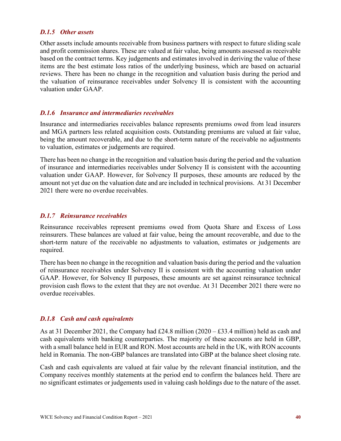#### *D.1.5 Other assets*

Other assets include amounts receivable from business partners with respect to future sliding scale and profit commission shares. These are valued at fair value, being amounts assessed as receivable based on the contract terms. Key judgements and estimates involved in deriving the value of these items are the best estimate loss ratios of the underlying business, which are based on actuarial reviews. There has been no change in the recognition and valuation basis during the period and the valuation of reinsurance receivables under Solvency II is consistent with the accounting valuation under GAAP.

#### *D.1.6 Insurance and intermediaries receivables*

Insurance and intermediaries receivables balance represents premiums owed from lead insurers and MGA partners less related acquisition costs. Outstanding premiums are valued at fair value, being the amount recoverable, and due to the short-term nature of the receivable no adjustments to valuation, estimates or judgements are required.

There has been no change in the recognition and valuation basis during the period and the valuation of insurance and intermediaries receivables under Solvency II is consistent with the accounting valuation under GAAP. However, for Solvency II purposes, these amounts are reduced by the amount not yet due on the valuation date and are included in technical provisions. At 31 December 2021 there were no overdue receivables.

#### *D.1.7 Reinsurance receivables*

Reinsurance receivables represent premiums owed from Quota Share and Excess of Loss reinsurers. These balances are valued at fair value, being the amount recoverable, and due to the short-term nature of the receivable no adjustments to valuation, estimates or judgements are required.

There has been no change in the recognition and valuation basis during the period and the valuation of reinsurance receivables under Solvency II is consistent with the accounting valuation under GAAP. However, for Solvency II purposes, these amounts are set against reinsurance technical provision cash flows to the extent that they are not overdue. At 31 December 2021 there were no overdue receivables.

#### *D.1.8 Cash and cash equivalents*

As at 31 December 2021, the Company had £24.8 million (2020 – £33.4 million) held as cash and cash equivalents with banking counterparties. The majority of these accounts are held in GBP, with a small balance held in EUR and RON. Most accounts are held in the UK, with RON accounts held in Romania. The non-GBP balances are translated into GBP at the balance sheet closing rate.

Cash and cash equivalents are valued at fair value by the relevant financial institution, and the Company receives monthly statements at the period end to confirm the balances held. There are no significant estimates or judgements used in valuing cash holdings due to the nature of the asset.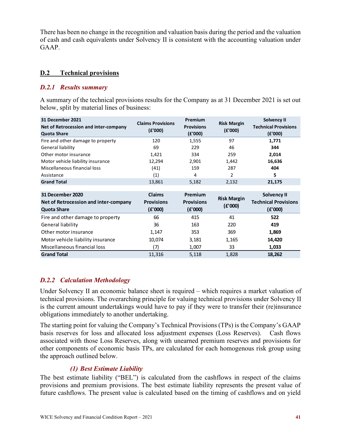There has been no change in the recognition and valuation basis during the period and the valuation of cash and cash equivalents under Solvency II is consistent with the accounting valuation under GAAP.

#### <span id="page-43-0"></span>**D.2 Technical provisions**

#### *D.2.1 Results summary*

A summary of the technical provisions results for the Company as at 31 December 2021 is set out below, split by material lines of business:

| 31 December 2021<br>Net of Retrocession and inter-company<br><b>Quota Share</b> | <b>Claims Provisions</b><br>(E'000) | Premium<br><b>Provisions</b><br>(E'000) | <b>Risk Margin</b><br>(E'000) | Solvency II<br><b>Technical Provisions</b><br>(E'000) |
|---------------------------------------------------------------------------------|-------------------------------------|-----------------------------------------|-------------------------------|-------------------------------------------------------|
| Fire and other damage to property                                               | 120                                 | 1,555                                   | 97                            | 1,771                                                 |
| General liability                                                               | 69                                  | 229                                     | 46                            | 344                                                   |
| Other motor insurance                                                           | 1,421                               | 334                                     | 259                           | 2,014                                                 |
| Motor vehicle liability insurance                                               | 12,294                              | 2,901                                   | 1,442                         | 16,636                                                |
| Miscellaneous financial loss                                                    | (41)                                | 159                                     | 287                           | 404                                                   |
| Assistance                                                                      | (1)                                 | 4                                       | 2                             | 5                                                     |
| <b>Grand Total</b>                                                              | 13,861                              | 5,182                                   | 2,132                         | 21,175                                                |
|                                                                                 |                                     |                                         |                               |                                                       |
| <b>31 December 2020</b>                                                         | <b>Claims</b>                       | <b>Premium</b>                          | <b>Risk Margin</b>            | Solvency II                                           |
| Net of Retrocession and inter-company                                           | <b>Provisions</b>                   | <b>Provisions</b>                       | (E'000)                       | <b>Technical Provisions</b>                           |
| <b>Quota Share</b>                                                              | (E'000)                             | (E'000)                                 |                               | (E'000)                                               |
| Fire and other damage to property                                               | 66                                  | 415                                     | 41                            | 522                                                   |
| General liability                                                               | 36                                  | 163                                     | 220                           | 419                                                   |
| Other motor insurance                                                           | 1,147                               | 353                                     | 369                           | 1,869                                                 |
| Motor vehicle liability insurance                                               | 10,074                              | 3,181                                   | 1,165                         | 14,420                                                |
| Miscellaneous financial loss                                                    | (7)                                 | 1,007                                   | 33                            | 1,033                                                 |
| <b>Grand Total</b>                                                              | 11,316                              | 5,118                                   | 1,828                         | 18,262                                                |

#### *D.2.2 Calculation Methodology*

Under Solvency II an economic balance sheet is required – which requires a market valuation of technical provisions. The overarching principle for valuing technical provisions under Solvency II is the current amount undertakings would have to pay if they were to transfer their (re)insurance obligations immediately to another undertaking.

The starting point for valuing the Company's Technical Provisions (TPs) is the Company's GAAP basis reserves for loss and allocated loss adjustment expenses (Loss Reserves). Cash flows associated with those Loss Reserves, along with unearned premium reserves and provisions for other components of economic basis TPs, are calculated for each homogenous risk group using the approach outlined below.

#### *(1) Best Estimate Liability*

The best estimate liability ("BEL") is calculated from the cashflows in respect of the claims provisions and premium provisions. The best estimate liability represents the present value of future cashflows. The present value is calculated based on the timing of cashflows and on yield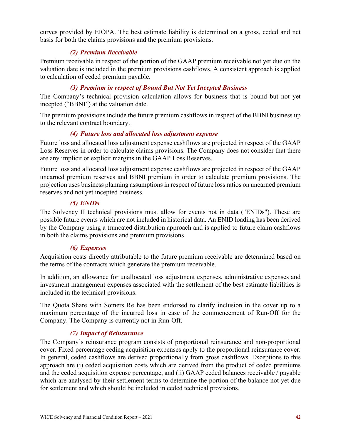curves provided by EIOPA. The best estimate liability is determined on a gross, ceded and net basis for both the claims provisions and the premium provisions.

## *(2) Premium Receivable*

Premium receivable in respect of the portion of the GAAP premium receivable not yet due on the valuation date is included in the premium provisions cashflows. A consistent approach is applied to calculation of ceded premium payable.

## *(3) Premium in respect of Bound But Not Yet Incepted Business*

The Company's technical provision calculation allows for business that is bound but not yet incepted ("BBNI") at the valuation date.

The premium provisions include the future premium cashflows in respect of the BBNI business up to the relevant contract boundary.

## *(4) Future loss and allocated loss adjustment expense*

Future loss and allocated loss adjustment expense cashflows are projected in respect of the GAAP Loss Reserves in order to calculate claims provisions. The Company does not consider that there are any implicit or explicit margins in the GAAP Loss Reserves.

Future loss and allocated loss adjustment expense cashflows are projected in respect of the GAAP unearned premium reserves and BBNI premium in order to calculate premium provisions. The projection uses business planning assumptions in respect of future loss ratios on unearned premium reserves and not yet incepted business.

### *(5) ENIDs*

The Solvency II technical provisions must allow for events not in data ("ENIDs"). These are possible future events which are not included in historical data. An ENID loading has been derived by the Company using a truncated distribution approach and is applied to future claim cashflows in both the claims provisions and premium provisions.

### *(6) Expenses*

Acquisition costs directly attributable to the future premium receivable are determined based on the terms of the contracts which generate the premium receivable.

In addition, an allowance for unallocated loss adjustment expenses, administrative expenses and investment management expenses associated with the settlement of the best estimate liabilities is included in the technical provisions.

The Quota Share with Somers Re has been endorsed to clarify inclusion in the cover up to a maximum percentage of the incurred loss in case of the commencement of Run-Off for the Company. The Company is currently not in Run-Off.

## *(7) Impact of Reinsurance*

The Company's reinsurance program consists of proportional reinsurance and non-proportional cover. Fixed percentage ceding acquisition expenses apply to the proportional reinsurance cover. In general, ceded cashflows are derived proportionally from gross cashflows. Exceptions to this approach are (i) ceded acquisition costs which are derived from the product of ceded premiums and the ceded acquisition expense percentage, and (ii) GAAP ceded balances receivable / payable which are analysed by their settlement terms to determine the portion of the balance not yet due for settlement and which should be included in ceded technical provisions.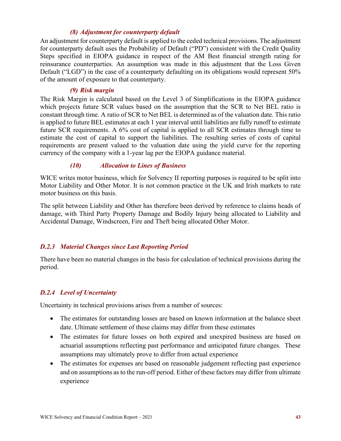#### *(8) Adjustment for counterparty default*

An adjustment for counterparty default is applied to the ceded technical provisions. The adjustment for counterparty default uses the Probability of Default ("PD") consistent with the Credit Quality Steps specified in EIOPA guidance in respect of the AM Best financial strength rating for reinsurance counterparties. An assumption was made in this adjustment that the Loss Given Default ("LGD") in the case of a counterparty defaulting on its obligations would represent 50% of the amount of exposure to that counterparty.

#### *(9) Risk margin*

The Risk Margin is calculated based on the Level 3 of Simplifications in the EIOPA guidance which projects future SCR values based on the assumption that the SCR to Net BEL ratio is constant through time. A ratio of SCR to Net BEL is determined as of the valuation date. This ratio is applied to future BEL estimates at each 1 year interval until liabilities are fully runoff to estimate future SCR requirements. A 6% cost of capital is applied to all SCR estimates through time to estimate the cost of capital to support the liabilities. The resulting series of costs of capital requirements are present valued to the valuation date using the yield curve for the reporting currency of the company with a 1-year lag per the EIOPA guidance material.

#### *(10) Allocation to Lines of Business*

WICE writes motor business, which for Solvency II reporting purposes is required to be split into Motor Liability and Other Motor. It is not common practice in the UK and Irish markets to rate motor business on this basis.

The split between Liability and Other has therefore been derived by reference to claims heads of damage, with Third Party Property Damage and Bodily Injury being allocated to Liability and Accidental Damage, Windscreen, Fire and Theft being allocated Other Motor.

#### *D.2.3 Material Changes since Last Reporting Period*

There have been no material changes in the basis for calculation of technical provisions during the period.

#### *D.2.4 Level of Uncertainty*

Uncertainty in technical provisions arises from a number of sources:

- The estimates for outstanding losses are based on known information at the balance sheet date. Ultimate settlement of these claims may differ from these estimates
- The estimates for future losses on both expired and unexpired business are based on actuarial assumptions reflecting past performance and anticipated future changes. These assumptions may ultimately prove to differ from actual experience
- The estimates for expenses are based on reasonable judgement reflecting past experience and on assumptions as to the run-off period. Either of these factors may differ from ultimate experience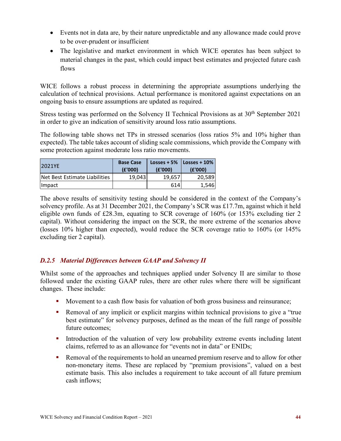- Events not in data are, by their nature unpredictable and any allowance made could prove to be over-prudent or insufficient
- The legislative and market environment in which WICE operates has been subject to material changes in the past, which could impact best estimates and projected future cash flows

WICE follows a robust process in determining the appropriate assumptions underlying the calculation of technical provisions. Actual performance is monitored against expectations on an ongoing basis to ensure assumptions are updated as required.

Stress testing was performed on the Solvency II Technical Provisions as at 30<sup>th</sup> September 2021 in order to give an indication of sensitivity around loss ratio assumptions.

The following table shows net TPs in stressed scenarios (loss ratios 5% and 10% higher than expected). The table takes account of sliding scale commissions, which provide the Company with some protection against moderate loss ratio movements.

| 2021YF                        | <b>Base Case</b><br>(E'000) | Losses $+5%$<br>(E'000) | Losses $+10%$<br>(E'000) |
|-------------------------------|-----------------------------|-------------------------|--------------------------|
| Net Best Estimate Liabilities | 19,043                      | 19.657                  | 20,589                   |
| Impact                        |                             | 614                     | 1,546                    |

The above results of sensitivity testing should be considered in the context of the Company's solvency profile. As at 31 December 2021, the Company's SCR was £17.7m, against which it held eligible own funds of £28.3m, equating to SCR coverage of 160% (or 153% excluding tier 2 capital). Without considering the impact on the SCR, the more extreme of the scenarios above (losses 10% higher than expected), would reduce the SCR coverage ratio to 160% (or 145% excluding tier 2 capital).

#### *D.2.5 Material Differences between GAAP and Solvency II*

Whilst some of the approaches and techniques applied under Solvency II are similar to those followed under the existing GAAP rules, there are other rules where there will be significant changes. These include:

- Movement to a cash flow basis for valuation of both gross business and reinsurance;
- Removal of any implicit or explicit margins within technical provisions to give a "true" best estimate" for solvency purposes, defined as the mean of the full range of possible future outcomes;
- Introduction of the valuation of very low probability extreme events including latent claims, referred to as an allowance for "events not in data" or ENIDs;
- Removal of the requirements to hold an unearned premium reserve and to allow for other non-monetary items. These are replaced by "premium provisions", valued on a best estimate basis. This also includes a requirement to take account of all future premium cash inflows;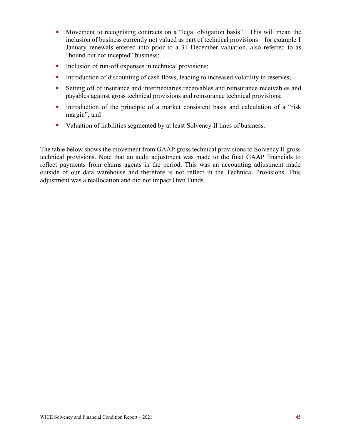- **Movement to recognising contracts on a "legal obligation basis".** This will mean the inclusion of business currently not valued as part of technical provisions – for example 1 January renewals entered into prior to a 31 December valuation, also referred to as "bound but not incepted" business;
- Inclusion of run-off expenses in technical provisions;
- Introduction of discounting of cash flows, leading to increased volatility in reserves;
- Setting off of insurance and intermediaries receivables and reinsurance receivables and payables against gross technical provisions and reinsurance technical provisions;
- Introduction of the principle of a market consistent basis and calculation of a "risk" margin"; and
- Valuation of liabilities segmented by at least Solvency II lines of business.

The table below shows the movement from GAAP gross technical provisions to Solvency II gross technical provisions. Note that an audit adjustment was made to the final GAAP financials to reflect payments from claims agents in the period. This was an accounting adjustment made outside of our data warehouse and therefore is not reflect in the Technical Provisions. This adjustment was a reallocation and did not impact Own Funds.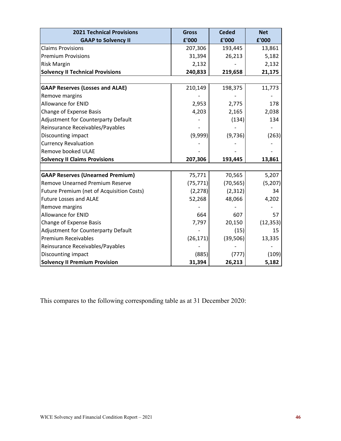| <b>2021 Technical Provisions</b>          | <b>Gross</b> | <b>Ceded</b> | <b>Net</b> |
|-------------------------------------------|--------------|--------------|------------|
| <b>GAAP to Solvency II</b>                | £'000        | £'000        | £'000      |
| <b>Claims Provisions</b>                  | 207,306      | 193,445      | 13,861     |
| <b>Premium Provisions</b>                 | 31,394       | 26,213       | 5,182      |
| <b>Risk Margin</b>                        | 2,132        |              | 2,132      |
| <b>Solvency II Technical Provisions</b>   | 240,833      | 219,658      | 21,175     |
|                                           |              |              |            |
| <b>GAAP Reserves (Losses and ALAE)</b>    | 210,149      | 198,375      | 11,773     |
| Remove margins                            |              |              |            |
| <b>Allowance for ENID</b>                 | 2,953        | 2,775        | 178        |
| Change of Expense Basis                   | 4,203        | 2,165        | 2,038      |
| Adjustment for Counterparty Default       |              | (134)        | 134        |
| Reinsurance Receivables/Payables          |              |              |            |
| Discounting impact                        | (9,999)      | (9,736)      | (263)      |
| <b>Currency Revaluation</b>               |              |              |            |
| Remove booked ULAE                        |              |              |            |
| <b>Solvency II Claims Provisions</b>      | 207,306      | 193,445      | 13,861     |
|                                           |              |              |            |
| <b>GAAP Reserves (Unearned Premium)</b>   | 75,771       | 70,565       | 5,207      |
| Remove Unearned Premium Reserve           | (75, 771)    | (70, 565)    | (5,207)    |
| Future Premium (net of Acquisition Costs) | (2, 278)     | (2,312)      | 34         |
| <b>Future Losses and ALAE</b>             | 52,268       | 48,066       | 4,202      |
| Remove margins                            |              |              |            |
| Allowance for ENID                        | 664          | 607          | 57         |
| Change of Expense Basis                   | 7,797        | 20,150       | (12, 353)  |
| Adjustment for Counterparty Default       |              | (15)         | 15         |
| <b>Premium Receivables</b>                | (26, 171)    | (39, 506)    | 13,335     |
| Reinsurance Receivables/Payables          |              |              |            |
| Discounting impact                        | (885)        | (777)        | (109)      |
| <b>Solvency II Premium Provision</b>      | 31,394       | 26,213       | 5,182      |

This compares to the following corresponding table as at 31 December 2020: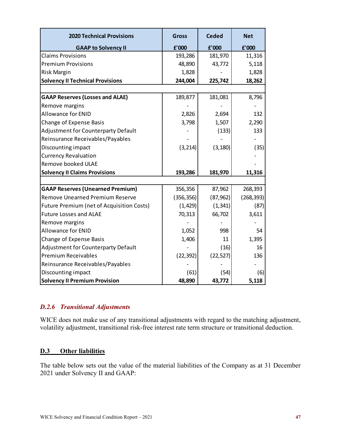| <b>2020 Technical Provisions</b>          | <b>Gross</b> | Ceded     | <b>Net</b> |
|-------------------------------------------|--------------|-----------|------------|
| <b>GAAP to Solvency II</b>                | £'000        | f'000     | f'000      |
| <b>Claims Provisions</b>                  | 193,286      | 181,970   | 11,316     |
| <b>Premium Provisions</b>                 | 48,890       | 43,772    | 5,118      |
| Risk Margin                               | 1,828        |           | 1,828      |
| <b>Solvency II Technical Provisions</b>   | 244,004      | 225,742   | 18,262     |
|                                           |              |           |            |
| <b>GAAP Reserves (Losses and ALAE)</b>    | 189,877      | 181,081   | 8,796      |
| Remove margins                            |              |           |            |
| <b>Allowance for ENID</b>                 | 2,826        | 2,694     | 132        |
| Change of Expense Basis                   | 3,798        | 1,507     | 2,290      |
| Adjustment for Counterparty Default       |              | (133)     | 133        |
| Reinsurance Receivables/Payables          |              |           |            |
| Discounting impact                        | (3, 214)     | (3, 180)  | (35)       |
| <b>Currency Revaluation</b>               |              |           |            |
| <b>Remove booked ULAE</b>                 |              |           |            |
| <b>Solvency II Claims Provisions</b>      | 193,286      | 181,970   | 11,316     |
|                                           |              |           |            |
| <b>GAAP Reserves (Unearned Premium)</b>   | 356,356      | 87,962    | 268,393    |
| <b>Remove Unearned Premium Reserve</b>    | (356, 356)   | (87, 962) | (268, 393) |
| Future Premium (net of Acquisition Costs) | (1, 429)     | (1, 341)  | (87)       |
| <b>Future Losses and ALAE</b>             | 70,313       | 66,702    | 3,611      |
| Remove margins                            |              |           |            |
| <b>Allowance for ENID</b>                 | 1,052        | 998       | 54         |
| Change of Expense Basis                   | 1,406        | 11        | 1,395      |
| Adjustment for Counterparty Default       |              | (16)      | 16         |
| <b>Premium Receivables</b>                | (22, 392)    | (22, 527) | 136        |
| Reinsurance Receivables/Payables          |              |           |            |
| Discounting impact                        | (61)         | (54)      | (6)        |
| <b>Solvency II Premium Provision</b>      | 48,890       | 43,772    | 5,118      |

#### *D.2.6 Transitional Adjustments*

WICE does not make use of any transitional adjustments with regard to the matching adjustment, volatility adjustment, transitional risk-free interest rate term structure or transitional deduction.

#### <span id="page-49-0"></span>**D.3 Other liabilities**

The table below sets out the value of the material liabilities of the Company as at 31 December 2021 under Solvency II and GAAP: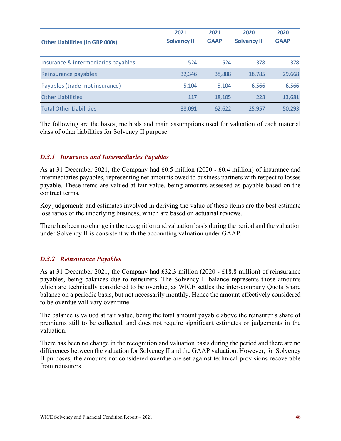| <b>Other Liabilities (in GBP 000s)</b> | 2021<br><b>Solvency II</b> | 2021<br><b>GAAP</b> | 2020<br><b>Solvency II</b> | 2020<br><b>GAAP</b> |
|----------------------------------------|----------------------------|---------------------|----------------------------|---------------------|
| Insurance & intermediaries payables    | 524                        | 524                 | 378                        | 378                 |
| Reinsurance payables                   | 32,346                     | 38,888              | 18,785                     | 29,668              |
| Payables (trade, not insurance)        | 5,104                      | 5,104               | 6,566                      | 6,566               |
| <b>Other Liabilities</b>               | 117                        | 18,105              | 228                        | 13,681              |
| <b>Total Other Liabilities</b>         | 38,091                     | 62,622              | 25,957                     | 50,293              |

The following are the bases, methods and main assumptions used for valuation of each material class of other liabilities for Solvency II purpose.

#### *D.3.1 Insurance and Intermediaries Payables*

As at 31 December 2021, the Company had £0.5 million (2020 - £0.4 million) of insurance and intermediaries payables, representing net amounts owed to business partners with respect to losses payable. These items are valued at fair value, being amounts assessed as payable based on the contract terms.

Key judgements and estimates involved in deriving the value of these items are the best estimate loss ratios of the underlying business, which are based on actuarial reviews.

There has been no change in the recognition and valuation basis during the period and the valuation under Solvency II is consistent with the accounting valuation under GAAP.

#### *D.3.2 Reinsurance Payables*

As at 31 December 2021, the Company had £32.3 million (2020 - £18.8 million) of reinsurance payables, being balances due to reinsurers. The Solvency II balance represents those amounts which are technically considered to be overdue, as WICE settles the inter-company Quota Share balance on a periodic basis, but not necessarily monthly. Hence the amount effectively considered to be overdue will vary over time.

The balance is valued at fair value, being the total amount payable above the reinsurer's share of premiums still to be collected, and does not require significant estimates or judgements in the valuation.

There has been no change in the recognition and valuation basis during the period and there are no differences between the valuation for Solvency II and the GAAP valuation. However, for Solvency II purposes, the amounts not considered overdue are set against technical provisions recoverable from reinsurers.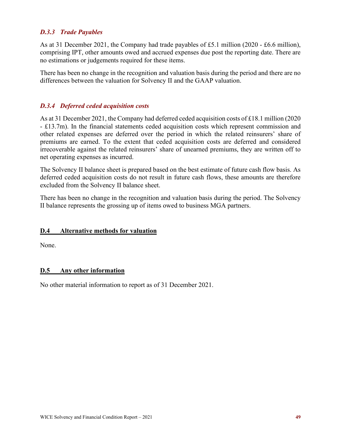#### *D.3.3 Trade Payables*

As at 31 December 2021, the Company had trade payables of £5.1 million (2020 - £6.6 million), comprising IPT, other amounts owed and accrued expenses due post the reporting date. There are no estimations or judgements required for these items.

There has been no change in the recognition and valuation basis during the period and there are no differences between the valuation for Solvency II and the GAAP valuation.

#### *D.3.4 Deferred ceded acquisition costs*

As at 31 December 2021, the Company had deferred ceded acquisition costs of £18.1 million (2020 - £13.7m). In the financial statements ceded acquisition costs which represent commission and other related expenses are deferred over the period in which the related reinsurers' share of premiums are earned. To the extent that ceded acquisition costs are deferred and considered irrecoverable against the related reinsurers' share of unearned premiums, they are written off to net operating expenses as incurred.

The Solvency II balance sheet is prepared based on the best estimate of future cash flow basis. As deferred ceded acquisition costs do not result in future cash flows, these amounts are therefore excluded from the Solvency II balance sheet.

There has been no change in the recognition and valuation basis during the period. The Solvency II balance represents the grossing up of items owed to business MGA partners.

#### <span id="page-51-0"></span>**D.4 Alternative methods for valuation**

None.

#### <span id="page-51-1"></span>**D.5 Any other information**

No other material information to report as of 31 December 2021.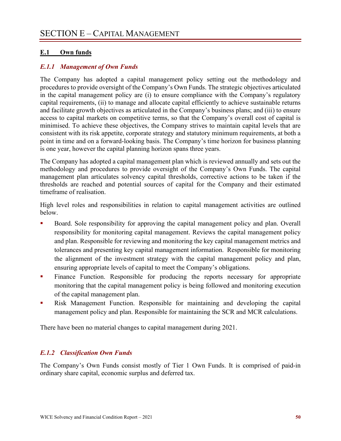#### <span id="page-52-1"></span><span id="page-52-0"></span>**E.1 Own funds**

#### *E.1.1 Management of Own Funds*

The Company has adopted a capital management policy setting out the methodology and procedures to provide oversight of the Company's Own Funds. The strategic objectives articulated in the capital management policy are (i) to ensure compliance with the Company's regulatory capital requirements, (ii) to manage and allocate capital efficiently to achieve sustainable returns and facilitate growth objectives as articulated in the Company's business plans; and (iii) to ensure access to capital markets on competitive terms, so that the Company's overall cost of capital is minimised. To achieve these objectives, the Company strives to maintain capital levels that are consistent with its risk appetite, corporate strategy and statutory minimum requirements, at both a point in time and on a forward-looking basis. The Company's time horizon for business planning is one year, however the capital planning horizon spans three years.

The Company has adopted a capital management plan which is reviewed annually and sets out the methodology and procedures to provide oversight of the Company's Own Funds. The capital management plan articulates solvency capital thresholds, corrective actions to be taken if the thresholds are reached and potential sources of capital for the Company and their estimated timeframe of realisation.

High level roles and responsibilities in relation to capital management activities are outlined below.

- Board. Sole responsibility for approving the capital management policy and plan. Overall responsibility for monitoring capital management. Reviews the capital management policy and plan. Responsible for reviewing and monitoring the key capital management metrics and tolerances and presenting key capital management information. Responsible for monitoring the alignment of the investment strategy with the capital management policy and plan, ensuring appropriate levels of capital to meet the Company's obligations.
- Finance Function. Responsible for producing the reports necessary for appropriate monitoring that the capital management policy is being followed and monitoring execution of the capital management plan.
- Risk Management Function. Responsible for maintaining and developing the capital management policy and plan. Responsible for maintaining the SCR and MCR calculations.

There have been no material changes to capital management during 2021.

#### *E.1.2 Classification Own Funds*

The Company's Own Funds consist mostly of Tier 1 Own Funds. It is comprised of paid-in ordinary share capital, economic surplus and deferred tax.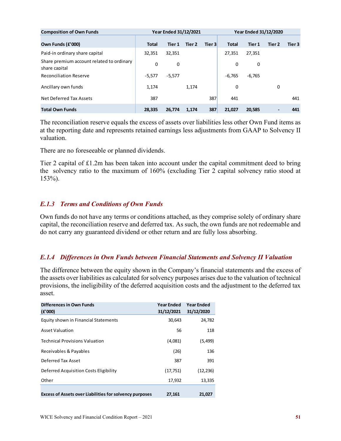| <b>Composition of Own Funds</b>                            |              | <b>Year Ended 31/12/2021</b> |        |        |              | <b>Year Ended 31/12/2020</b> |                          |        |
|------------------------------------------------------------|--------------|------------------------------|--------|--------|--------------|------------------------------|--------------------------|--------|
| Own Funds (£'000)                                          | <b>Total</b> | Tier 1                       | Tier 2 | Tier 3 | <b>Total</b> | Tier 1                       | Tier 2                   | Tier 3 |
| Paid-in ordinary share capital                             | 32,351       | 32,351                       |        |        | 27,351       | 27,351                       |                          |        |
| Share premium account related to ordinary<br>share capital | 0            | 0                            |        |        | 0            | 0                            |                          |        |
| <b>Reconciliation Reserve</b>                              | $-5.577$     | $-5,577$                     |        |        | $-6,765$     | $-6,765$                     |                          |        |
| Ancillary own funds                                        | 1,174        |                              | 1.174  |        | 0            |                              | 0                        |        |
| Net Deferred Tax Assets                                    | 387          |                              |        | 387    | 441          |                              |                          | 441    |
| <b>Total Own Funds</b>                                     | 28.335       | 26.774                       | 1,174  | 387    | 21,027       | 20,585                       | $\overline{\phantom{a}}$ | 441    |

The reconciliation reserve equals the excess of assets over liabilities less other Own Fund items as at the reporting date and represents retained earnings less adjustments from GAAP to Solvency II valuation.

There are no foreseeable or planned dividends.

Tier 2 capital of £1.2m has been taken into account under the capital commitment deed to bring the solvency ratio to the maximum of 160% (excluding Tier 2 capital solvency ratio stood at 153%).

#### *E.1.3 Terms and Conditions of Own Funds*

Own funds do not have any terms or conditions attached, as they comprise solely of ordinary share capital, the reconciliation reserve and deferred tax. As such, the own funds are not redeemable and do not carry any guaranteed dividend or other return and are fully loss absorbing.

#### *E.1.4 Differences in Own Funds between Financial Statements and Solvency II Valuation*

The difference between the equity shown in the Company's financial statements and the excess of the assets over liabilities as calculated for solvency purposes arises due to the valuation of technical provisions, the ineligibility of the deferred acquisition costs and the adjustment to the deferred tax asset.

| Differences in Own Funds<br>(E'000)                            | Year Ended<br>31/12/2021 | Year Ended<br>31/12/2020 |
|----------------------------------------------------------------|--------------------------|--------------------------|
| Equity shown in Financial Statements                           | 30,643                   | 24,782                   |
| Asset Valuation                                                | 56                       | 118                      |
| <b>Technical Provisions Valuation</b>                          | (4,081)                  | (5,499)                  |
| Receivables & Payables                                         | (26)                     | 136                      |
| Deferred Tax Asset                                             | 387                      | 391                      |
| Deferred Acquisition Costs Eligibility                         | (17, 751)                | (12, 236)                |
| Other                                                          | 17,932                   | 13,335                   |
| <b>Excess of Assets over Liabilities for solvency purposes</b> | 27,161                   | 21,027                   |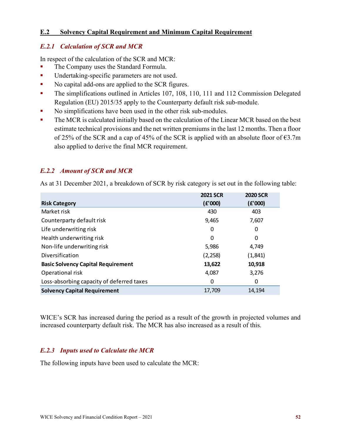#### <span id="page-54-0"></span>**E.2 Solvency Capital Requirement and Minimum Capital Requirement**

#### *E.2.1 Calculation of SCR and MCR*

In respect of the calculation of the SCR and MCR:

- The Company uses the Standard Formula.
- Undertaking-specific parameters are not used.
- No capital add-ons are applied to the SCR figures.
- The simplifications outlined in Articles 107, 108, 110, 111 and 112 Commission Delegated Regulation (EU) 2015/35 apply to the Counterparty default risk sub-module.
- No simplifications have been used in the other risk sub-modules.
- The MCR is calculated initially based on the calculation of the Linear MCR based on the best estimate technical provisions and the net written premiums in the last 12 months. Then a floor of 25% of the SCR and a cap of 45% of the SCR is applied with an absolute floor of  $\epsilon$ 3.7m also applied to derive the final MCR requirement.

#### *E.2.2 Amount of SCR and MCR*

As at 31 December 2021, a breakdown of SCR by risk category is set out in the following table:

|                                           | <b>2021 SCR</b> | <b>2020 SCR</b> |
|-------------------------------------------|-----------------|-----------------|
| <b>Risk Category</b>                      | (E'000)         | (E'000)         |
| Market risk                               | 430             | 403             |
| Counterparty default risk                 | 9,465           | 7,607           |
| Life underwriting risk                    | 0               | 0               |
| Health underwriting risk                  | 0               | 0               |
| Non-life underwriting risk                | 5,986           | 4,749           |
| Diversification                           | (2, 258)        | (1,841)         |
| <b>Basic Solvency Capital Requirement</b> | 13,622          | 10,918          |
| Operational risk                          | 4,087           | 3,276           |
| Loss-absorbing capacity of deferred taxes | 0               | 0               |
| <b>Solvency Capital Requirement</b>       | 17,709          | 14,194          |

WICE's SCR has increased during the period as a result of the growth in projected volumes and increased counterparty default risk. The MCR has also increased as a result of this.

#### *E.2.3 Inputs used to Calculate the MCR*

The following inputs have been used to calculate the MCR: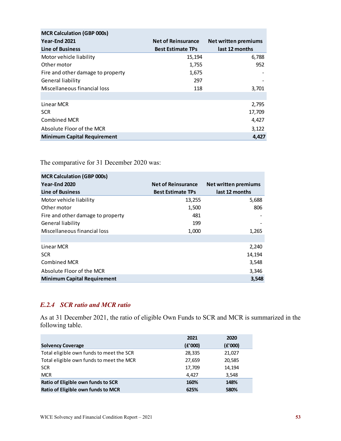| <b>MCR Calculation (GBP 000s)</b>  |                           |                      |
|------------------------------------|---------------------------|----------------------|
| Year-End 2021                      | <b>Net of Reinsurance</b> | Net written premiums |
| Line of Business                   | <b>Best Estimate TPs</b>  | last 12 months       |
| Motor vehicle liability            | 15,194                    | 6,788                |
| Other motor                        | 1,755                     | 952                  |
| Fire and other damage to property  | 1,675                     |                      |
| General liability                  | 297                       |                      |
| Miscellaneous financial loss       | 118                       | 3,701                |
|                                    |                           |                      |
| Linear MCR                         |                           | 2,795                |
| <b>SCR</b>                         |                           | 17,709               |
| Combined MCR                       |                           | 4,427                |
| Absolute Floor of the MCR          |                           | 3,122                |
| <b>Minimum Capital Requirement</b> |                           | 4,427                |

The comparative for 31 December 2020 was:

| <b>MCR Calculation (GBP 000s)</b>  |                           |                      |
|------------------------------------|---------------------------|----------------------|
| Year-End 2020                      | <b>Net of Reinsurance</b> | Net written premiums |
| <b>Line of Business</b>            | <b>Best Estimate TPs</b>  | last 12 months       |
| Motor vehicle liability            | 13,255                    | 5,688                |
| Other motor                        | 1,500                     | 806                  |
| Fire and other damage to property  | 481                       |                      |
| General liability                  | 199                       |                      |
| Miscellaneous financial loss       | 1,000                     | 1,265                |
|                                    |                           |                      |
| Linear MCR                         |                           | 2,240                |
| <b>SCR</b>                         |                           | 14,194               |
| Combined MCR                       |                           | 3,548                |
| Absolute Floor of the MCR          |                           | 3,346                |
| <b>Minimum Capital Requirement</b> |                           | 3,548                |

#### *E.2.4 SCR ratio and MCR ratio*

As at 31 December 2021, the ratio of eligible Own Funds to SCR and MCR is summarized in the following table.

| <b>Solvency Coverage</b>                 | 2021<br>(E'000) | 2020<br>(E'000) |
|------------------------------------------|-----------------|-----------------|
| Total eligible own funds to meet the SCR | 28,335          | 21,027          |
| Total eligible own funds to meet the MCR | 27,659          | 20,585          |
| <b>SCR</b>                               | 17,709          | 14,194          |
| <b>MCR</b>                               | 4,427           | 3,548           |
| Ratio of Eligible own funds to SCR       | 160%            | 148%            |
| Ratio of Eligible own funds to MCR       | 625%            | 580%            |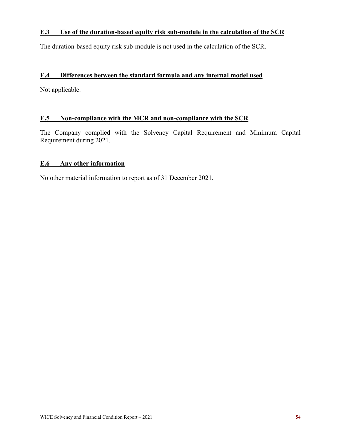#### <span id="page-56-0"></span>**E.3 Use of the duration-based equity risk sub-module in the calculation of the SCR**

The duration-based equity risk sub-module is not used in the calculation of the SCR.

#### <span id="page-56-1"></span>**E.4 Differences between the standard formula and any internal model used**

Not applicable.

#### <span id="page-56-2"></span>**E.5 Non-compliance with the MCR and non-compliance with the SCR**

The Company complied with the Solvency Capital Requirement and Minimum Capital Requirement during 2021.

#### <span id="page-56-3"></span>**E.6 Any other information**

No other material information to report as of 31 December 2021.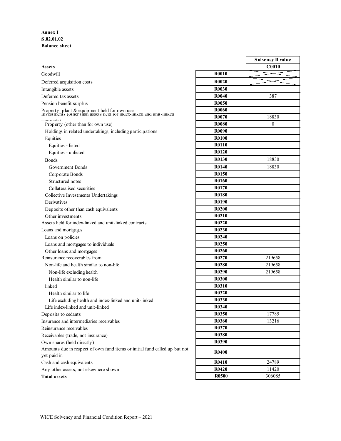#### **Annex I S.02.01.02 Balance sheet**

|                                                                                                                     |              | <b>Solvency II value</b> |
|---------------------------------------------------------------------------------------------------------------------|--------------|--------------------------|
| <b>Assets</b>                                                                                                       |              | C0010                    |
| Goodwill                                                                                                            | <b>R0010</b> |                          |
| Deferred acquisition costs                                                                                          | <b>R0020</b> |                          |
| Intangible assets                                                                                                   | <b>R0030</b> |                          |
| Deferred tax assets                                                                                                 | <b>R0040</b> | 387                      |
| Pension benefit surplus                                                                                             | <b>R0050</b> |                          |
| Property, plant & equipment held for own use<br>Investments (otner than assets neid for maex-linked and unit-linked | <b>R0060</b> |                          |
|                                                                                                                     | <b>R0070</b> | 18830                    |
| Property (other than for own use)                                                                                   | <b>R0080</b> | $\overline{0}$           |
| Holdings in related undertakings, including participations                                                          | <b>R0090</b> |                          |
| Equities                                                                                                            | <b>R0100</b> |                          |
| Equities - listed                                                                                                   | <b>R0110</b> |                          |
| Equities - unlisted                                                                                                 | <b>R0120</b> |                          |
| <b>Bonds</b>                                                                                                        | <b>R0130</b> | 18830                    |
| Government Bonds                                                                                                    | <b>R0140</b> | 18830                    |
| Corporate Bonds                                                                                                     | <b>R0150</b> |                          |
| Structured notes                                                                                                    | <b>R0160</b> |                          |
| Collateralised securities                                                                                           | R0170        |                          |
| Collective Investments Undertakings                                                                                 | <b>R0180</b> |                          |
| Derivatives                                                                                                         | R0190        |                          |
| Deposits other than cash equivalents                                                                                | <b>R0200</b> |                          |
| Other investments                                                                                                   | <b>R0210</b> |                          |
| Assets held for index-linked and unit-linked contracts                                                              | <b>R0220</b> |                          |
| Loans and mortgages                                                                                                 | <b>R0230</b> |                          |
| Loans on policies                                                                                                   | <b>R0240</b> |                          |
| Loans and mortgages to individuals                                                                                  | <b>R0250</b> |                          |
| Other loans and mortgages                                                                                           | <b>R0260</b> |                          |
| Reinsurance recoverables from:                                                                                      | R0270        | 219658                   |
| Non-life and health similar to non-life                                                                             | <b>R0280</b> | 219658                   |
| Non-life excluding health                                                                                           | <b>R0290</b> | 219658                   |
| Health similar to non-life                                                                                          | <b>R0300</b> |                          |
| linked                                                                                                              | <b>R0310</b> |                          |
| Health similar to life                                                                                              | <b>R0320</b> |                          |
| Life excluding health and index-linked and unit-linked                                                              | <b>R0330</b> |                          |
| Life index-linked and unit-linked                                                                                   | R0340        |                          |
| Deposits to cedants                                                                                                 | R0350        | 17785                    |
| Insurance and intermediaries receivables                                                                            | R0360        | 13216                    |
| Reinsurance receivables                                                                                             | R0370        |                          |
| Receivables (trade, not insurance)                                                                                  | <b>R0380</b> |                          |
| Own shares (held directly)                                                                                          | <b>R0390</b> |                          |
| Amounts due in respect of own fund items or initial fund called up but not                                          | <b>R0400</b> |                          |
| yet paid in                                                                                                         |              |                          |
| Cash and cash equivalents                                                                                           | <b>R0410</b> | 24789                    |
| Any other assets, not elsewhere shown                                                                               | <b>R0420</b> | 11420                    |
| <b>Total assets</b>                                                                                                 | <b>R0500</b> | 306085                   |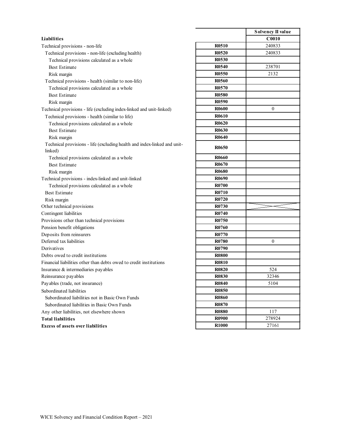|                                                                                     |                   | Solvency II value |
|-------------------------------------------------------------------------------------|-------------------|-------------------|
| Liabilities                                                                         |                   | C0010             |
| Technical provisions - non-life                                                     | R0510             | 240833            |
| Technical provisions - non-life (excluding health)                                  | <b>R0520</b>      | 240833            |
| Technical provisions calculated as a whole                                          | R0530             |                   |
| <b>Best Estimate</b>                                                                | <b>R0540</b>      | 238701            |
| Risk margin                                                                         | <b>R0550</b>      | 2132              |
| Technical provisions - health (similar to non-life)                                 | <b>R0560</b>      |                   |
| Technical provisions calculated as a whole                                          | R0570             |                   |
| <b>Best Estimate</b>                                                                | <b>R0580</b>      |                   |
| Risk margin                                                                         | <b>R0590</b>      |                   |
| Technical provisions - life (excluding index-linked and unit-linked)                | <b>R0600</b>      | $\mathbf{0}$      |
| Technical provisions - health (similar to life)                                     | R0610             |                   |
| Technical provisions calculated as a whole                                          | <b>R0620</b>      |                   |
| <b>Best Estimate</b>                                                                | R0630             |                   |
| Risk margin                                                                         | <b>R0640</b>      |                   |
| Technical provisions - life (excluding health and index-linked and unit-<br>linked) | <b>R0650</b>      |                   |
| Technical provisions calculated as a whole                                          | <b>R0660</b>      |                   |
| <b>Best Estimate</b>                                                                | R0670             |                   |
| Risk margin                                                                         | <b>R0680</b>      |                   |
| Technical provisions - index-linked and unit-linked                                 | R0690             |                   |
| Technical provisions calculated as a whole                                          | R0700             |                   |
| <b>Best Estimate</b>                                                                | R0710             |                   |
| Risk margin                                                                         | R0720             |                   |
| Other technical provisions                                                          | R0730             |                   |
| Contingent liabilities                                                              | R <sub>0740</sub> |                   |
| Provisions other than technical provisions                                          | R0750             |                   |
| Pension benefit obligations                                                         | R0760             |                   |
| Deposits from reinsurers                                                            | R0770             |                   |
| Deferred tax liabilities                                                            | R0780             | $\boldsymbol{0}$  |
| Derivatives                                                                         | R0790             |                   |
| Debts owed to credit institutions                                                   | <b>R0800</b>      |                   |
| Financial liabilities other than debts owed to credit institutions                  | <b>R0810</b>      |                   |
| Insurance & intermediaries payables                                                 | <b>R0820</b>      | 524               |
| Reinsurance payables                                                                | <b>R0830</b>      | 32346             |
| Payables (trade, not insurance)                                                     | <b>R0840</b>      | 5104              |
| Subordinated liabilities                                                            | <b>R0850</b>      |                   |
| Subordinated liabilities not in Basic Own Funds                                     | <b>R0860</b>      |                   |
| Subordinated liabilities in Basic Own Funds                                         | R0870             |                   |
| Any other liabilities, not elsewhere shown                                          | <b>R0880</b>      | 117               |
| <b>Total liabilities</b>                                                            | <b>R0900</b>      | 278924            |
| Excess of assets over liabilities                                                   | <b>R1000</b>      | 27161             |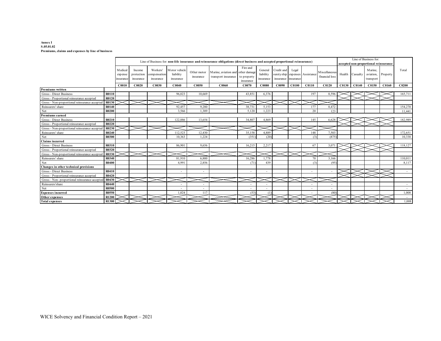#### **Annex I S.05.01.02 Premiums, claims and expenses by line of business**

|                                               |              |                                 | Line of Business for:<br>Line of Business for: non-life insurance and reinsurance obligations (direct business and accepted proportional reinsurance)<br>accepted non-proportional reinsurance |                                       |                                         |                          |                                                          |                                      |                                   |                                                           |                    |                          |                                  |        |          |                                    |          |                   |
|-----------------------------------------------|--------------|---------------------------------|------------------------------------------------------------------------------------------------------------------------------------------------------------------------------------------------|---------------------------------------|-----------------------------------------|--------------------------|----------------------------------------------------------|--------------------------------------|-----------------------------------|-----------------------------------------------------------|--------------------|--------------------------|----------------------------------|--------|----------|------------------------------------|----------|-------------------|
|                                               |              | M edical<br>expense<br>insuranc | Income<br>protection<br>insurance                                                                                                                                                              | Workers'<br>compensation<br>insurance | Motor vehicle<br>liability<br>insurance | Other motor<br>insurance | Marine, aviation and other damage<br>transport insurance | Fire and<br>to property<br>insurance | General<br>liability<br>insurance | Credit and<br>suretyship expenses Assistance<br>insurance | Legal<br>insurance |                          | M iscellaneous<br>financial loss | Health | Casualty | M arine.<br>aviation,<br>transport | Property | Total             |
|                                               |              | C0010                           | C0020                                                                                                                                                                                          | C0030                                 | CO <sub>040</sub>                       | C0050                    | C0060                                                    | CO070                                | C0080                             | C0090                                                     | C <sub>0100</sub>  | C0110                    | C0120                            | C0130  | C0140    | C0150                              | C0160    | C <sub>0200</sub> |
| Premiums written                              |              |                                 |                                                                                                                                                                                                |                                       |                                         |                          |                                                          |                                      |                                   |                                                           |                    |                          |                                  |        |          |                                    |          |                   |
| Gross - Direct Business                       | R0110        |                                 |                                                                                                                                                                                                |                                       | 96,023                                  | 10,669                   |                                                          | 43.851                               | 6,376                             |                                                           |                    | 197                      | 8,596                            |        |          |                                    |          | 165,711           |
| Gross - Proportional reinsurance accepted     | R0120        |                                 |                                                                                                                                                                                                |                                       |                                         |                          |                                                          |                                      |                                   |                                                           |                    |                          |                                  |        |          |                                    |          |                   |
| Gross - Non-proportional reinsurance accepted | R0130        |                                 |                                                                                                                                                                                                |                                       |                                         |                          |                                                          |                                      |                                   |                                                           |                    |                          |                                  |        |          |                                    |          |                   |
| Reinsurers' share                             | R0140        |                                 |                                                                                                                                                                                                |                                       | 92,457                                  | 9,280                    |                                                          | 38,731                               | 5,153                             |                                                           |                    | 177                      | 8,472                            |        |          |                                    |          | 154,270           |
| Net                                           | <b>R0200</b> |                                 |                                                                                                                                                                                                |                                       | 3.566                                   | 1.389                    |                                                          | 5,120                                | 1,223                             |                                                           |                    | 20                       | 123                              |        |          |                                    |          | 11,441            |
| Premiums earned                               |              |                                 |                                                                                                                                                                                                |                                       |                                         |                          |                                                          |                                      |                                   |                                                           |                    |                          |                                  |        |          |                                    |          |                   |
| Gross - Direct Business                       | R0210        |                                 |                                                                                                                                                                                                |                                       | 122,886                                 | 13,654                   |                                                          | 34,807                               | 4,869                             |                                                           |                    | 145                      | 6,628                            |        |          |                                    |          | 182,989           |
| Gross - Proportional reinsurance accepted     | R0220        |                                 |                                                                                                                                                                                                |                                       |                                         |                          |                                                          |                                      |                                   |                                                           |                    |                          |                                  |        |          |                                    |          |                   |
| Gross - Non-proportional reinsurance accepted | R0230        |                                 |                                                                                                                                                                                                |                                       |                                         |                          |                                                          |                                      |                                   |                                                           |                    |                          |                                  |        |          |                                    |          |                   |
| Reinsurers' share                             | R0240        |                                 |                                                                                                                                                                                                |                                       | 112,523                                 | 12,430                   |                                                          | 35.158                               | 4,889                             |                                                           |                    | 148                      | 7,503                            |        |          |                                    |          | 172,651           |
| Net                                           | R0300        |                                 |                                                                                                                                                                                                |                                       | 10.363                                  | 1.224                    |                                                          | (351)                                | (20)                              |                                                           |                    | (3)                      | (875)                            |        |          |                                    |          | 10,338            |
| <b>Claims</b> incurred                        |              |                                 |                                                                                                                                                                                                |                                       |                                         |                          |                                                          |                                      |                                   |                                                           |                    |                          |                                  |        |          |                                    |          |                   |
| Gross - Direct Business                       | R0310        |                                 |                                                                                                                                                                                                |                                       | 86,901                                  | 9,656                    |                                                          | 16,215                               | 2,217                             |                                                           |                    | 67                       | 3,071                            |        |          |                                    |          | 118,127           |
| Gross - Proportional reinsurance accepted     | R0320        |                                 |                                                                                                                                                                                                |                                       |                                         |                          |                                                          |                                      |                                   |                                                           |                    |                          |                                  |        |          |                                    |          |                   |
| Gross - Non-proportional reinsurance accepted | <b>R0330</b> |                                 |                                                                                                                                                                                                |                                       |                                         |                          |                                                          |                                      |                                   |                                                           |                    |                          |                                  |        |          |                                    |          |                   |
| Reinsurers' share                             | R0340        |                                 |                                                                                                                                                                                                |                                       | 81,910                                  | 6,800                    |                                                          | 16.286                               | 1,778                             |                                                           |                    | 70                       | 3.166                            |        |          |                                    |          | 110,011           |
| Net                                           | <b>R0400</b> |                                 |                                                                                                                                                                                                |                                       | 4.991                                   | 2.856                    |                                                          | (71)                                 | 439                               |                                                           |                    | (3)                      | (95)                             |        |          |                                    |          | 8,117             |
| Changes in other technical provisions         |              |                                 |                                                                                                                                                                                                |                                       |                                         |                          |                                                          |                                      |                                   |                                                           |                    |                          |                                  |        |          |                                    |          |                   |
| Gross - Direct Business                       | R0410        |                                 |                                                                                                                                                                                                |                                       | $\overline{\phantom{a}}$                | $\sim$                   |                                                          | $\sim$                               | $\overline{\phantom{a}}$          |                                                           |                    | $\overline{\phantom{a}}$ | $\sim$                           |        |          |                                    |          | $\sim$            |
| Gross - Proportional reinsurance accepted     | R0420        |                                 |                                                                                                                                                                                                |                                       |                                         |                          |                                                          |                                      |                                   |                                                           |                    |                          |                                  |        |          |                                    |          |                   |
| Gross - Non- proportional reinsurance accepte | R0430        |                                 |                                                                                                                                                                                                |                                       |                                         |                          |                                                          |                                      |                                   |                                                           |                    |                          |                                  |        |          |                                    |          |                   |
| Reinsurers'share                              | R0440        |                                 |                                                                                                                                                                                                |                                       |                                         |                          |                                                          |                                      |                                   |                                                           |                    |                          |                                  |        |          |                                    |          | $\sim$            |
| Net                                           | <b>R0500</b> |                                 |                                                                                                                                                                                                |                                       | $\overline{\phantom{a}}$                | $\sim$                   |                                                          | $\sim$                               |                                   |                                                           |                    | $\overline{\phantom{a}}$ | $\sim$                           |        |          |                                    |          | $\sim$            |
| <b>Expenses incurred</b>                      | <b>R0550</b> |                                 |                                                                                                                                                                                                |                                       | 1.024                                   | 117                      |                                                          | (53)                                 | (1)                               |                                                           |                    |                          | (80)                             |        |          |                                    |          | 1,008             |
| Other expenses                                | R1200        |                                 |                                                                                                                                                                                                |                                       |                                         |                          |                                                          |                                      |                                   |                                                           |                    |                          |                                  |        |          |                                    |          |                   |
| <b>Total expenses</b>                         | R1300        |                                 |                                                                                                                                                                                                |                                       |                                         |                          |                                                          |                                      |                                   |                                                           |                    |                          |                                  |        |          |                                    |          | 1,008             |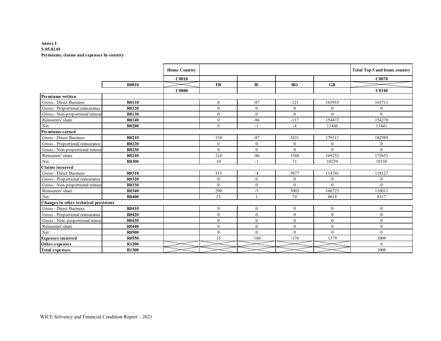#### **Annex I S.05.02.01 Premiums, claims and expenses by country**

|                                       |              | <b>Home Country</b> |                |                       |              |                  | Total Top 5 and home country |
|---------------------------------------|--------------|---------------------|----------------|-----------------------|--------------|------------------|------------------------------|
|                                       |              | C <sub>0010</sub>   |                |                       |              |                  | C0070                        |
|                                       | R0010        |                     | <b>FR</b>      | $\mathbf{I}$ <b>E</b> | RO           | GB               |                              |
|                                       |              | C0080               |                |                       |              |                  | C <sub>0140</sub>            |
| <b>Premiums written</b>               |              |                     |                |                       |              |                  |                              |
| Gross - Direct Business               | <b>R0110</b> |                     | $\theta$       | $-87$                 | $-121$       | 165918           | 165711                       |
| Gross - Proportional reinsurance      | <b>R0120</b> |                     | $\Omega$       | $\mathbf{0}$          | $\mathbf{0}$ | $\mathbf{0}$     | $\boldsymbol{0}$             |
| Gross - Non-proportional reinsur      | <b>R0130</b> |                     | $\overline{0}$ | $\mathbf{0}$          | $\mathbf{0}$ | $\mathbf{0}$     | $\mathbf{0}$                 |
| Reinsurers' share                     | <b>R0140</b> |                     | $\overline{0}$ | $-86$                 | $-117$       | 154472           | 154270                       |
| Net                                   | <b>R0200</b> |                     | $\theta$       | $-1$                  | $-4$         | 11446            | 11441                        |
| Premiums earned                       |              |                     |                |                       |              |                  |                              |
| Gross - Direct Business               | <b>R0210</b> |                     | 134            | $-87$                 | 3431         | 179511           | 182989                       |
| Gross - Proportional reinsurance      | <b>R0220</b> |                     | $\overline{0}$ | $\boldsymbol{0}$      | $\mathbf{0}$ | $\mathbf{0}$     | $\bf{0}$                     |
| Gross - Non-proportional reinsur      | <b>R0230</b> |                     | $\Omega$       | $\theta$              | $\theta$     | $\theta$         | $\theta$                     |
| Reinsurers' share                     | <b>R0240</b> |                     | 124            | $-86$                 | 3360         | 169252           | 172651                       |
| Net                                   | <b>R0300</b> |                     | 10             | $-1$                  | 71           | 10259            | 10338                        |
| <b>Claims</b> incurred                |              |                     |                |                       |              |                  |                              |
| Gross - Direct Business               | <b>R0310</b> |                     | 313            | $-4$                  | 3077         | 114741           | 118127                       |
| Gross - Proportional reinsurance      | R0320        |                     | $\Omega$       | $\mathbf{0}$          | $\mathbf{0}$ | $\mathbf{0}$     | $\mathbf{0}$                 |
| Gross - Non-proportional reinsur      | <b>R0330</b> |                     | $\overline{0}$ | $\mathbf{0}$          | $\theta$     | $\mathbf{0}$     | $\mathbf{0}$                 |
| Reinsurers' share                     | <b>R0340</b> |                     | 290            | $-5$                  | 3003         | 106723           | 110011                       |
| Net                                   | <b>R0400</b> |                     | 23             |                       | 74           | 8018             | 8117                         |
| Changes in other technical provisions |              |                     |                |                       |              |                  |                              |
| Gross - Direct Business               | <b>R0410</b> |                     | $\overline{0}$ | $\overline{0}$        | $\mathbf{0}$ | $\mathbf{0}$     | $\mathbf{0}$                 |
| Gross - Proportional reinsurance      | <b>R0420</b> |                     | $\Omega$       | $\theta$              | $\theta$     | $\mathbf{0}$     | $\mathbf{0}$                 |
| Gross - Non- proportional reinsu      | <b>R0430</b> |                     | $\overline{0}$ | $\mathbf{0}$          | $\mathbf{0}$ | $\boldsymbol{0}$ | $\boldsymbol{0}$             |
| Reinsurers' share                     | <b>R0440</b> |                     | $\overline{0}$ | $\mathbf{0}$          | $\mathbf{0}$ | $\mathbf{0}$     | $\mathbf{0}$                 |
| Net                                   | <b>R0500</b> |                     | $\Omega$       | $\theta$              | $\theta$     | $\theta$         | $\theta$                     |
| <b>Expenses incurred</b>              | <b>R0550</b> |                     | 15             | $-160$                | $-174$       | 1379             | 1008                         |
| Other expenses                        | R1200        |                     |                |                       |              |                  | $\theta$                     |
| <b>Total expenses</b>                 | R1300        |                     |                |                       |              |                  | 1008                         |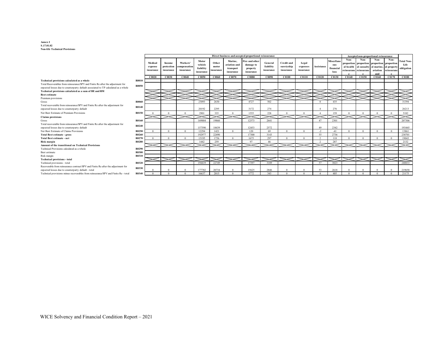#### **Annex I S.17.01.02 Non-life Technical Provisions**

|                                                                                    |              |                                 |                                   |                                       |                                            |                             |                                                   | Direct business and accepted proportional reinsurance |                                   |                                              |                                |                    |                                        | Accepted non-proportional reinsurance |                                                                      |                   |                                                                    |                                         |
|------------------------------------------------------------------------------------|--------------|---------------------------------|-----------------------------------|---------------------------------------|--------------------------------------------|-----------------------------|---------------------------------------------------|-------------------------------------------------------|-----------------------------------|----------------------------------------------|--------------------------------|--------------------|----------------------------------------|---------------------------------------|----------------------------------------------------------------------|-------------------|--------------------------------------------------------------------|-----------------------------------------|
|                                                                                    |              | Medical<br>expense<br>insurance | Income<br>protection<br>insurance | Workers'<br>compensation<br>insurance | Motor<br>vehicle<br>liability<br>insurance | Other<br>motor<br>insurance | Marine.<br>aviation and<br>transport<br>insurance | Fire and other<br>damage to<br>property<br>insurance  | General<br>liability<br>insurance | <b>Credit and</b><br>suretyship<br>insurance | Legal<br>expenses<br>insurance | <b>Assistance</b>  | Miscellane<br>ous<br>financial<br>loss | Non-                                  | proportion proportion proportion proportion<br>reinsuranc reinsuranc | aviation<br>and   | Non-<br>al health al casualty al marine, al property<br>reinsurano | <b>Total Non-</b><br>Life<br>obligation |
|                                                                                    |              | CO <sub>020</sub>               | CO <sub>030</sub>                 | CO <sub>040</sub>                     | C0050                                      | C0060                       | C0070                                             | C0080                                                 | C0090                             | C <sub>0100</sub>                            | C <sub>0110</sub>              | C0120              | C0130                                  | C0140                                 | C0150                                                                | C <sub>0160</sub> | C0170                                                              | <b>C0180</b>                            |
| Technical provisions calculated as a whole                                         | R0010        |                                 |                                   |                                       |                                            |                             |                                                   |                                                       |                                   |                                              |                                |                    |                                        |                                       |                                                                      |                   |                                                                    |                                         |
| Total Recoverables from reinsurance/SPV and Finite Re after the adjustment for     |              |                                 |                                   |                                       |                                            |                             |                                                   |                                                       |                                   |                                              |                                |                    |                                        |                                       |                                                                      |                   |                                                                    |                                         |
| expected losses due to counterparty default associated to TP calculated as a whole | <b>R0050</b> |                                 |                                   |                                       |                                            |                             |                                                   |                                                       |                                   |                                              |                                |                    |                                        |                                       |                                                                      |                   |                                                                    |                                         |
| Technical provisions calculated as a sum of BE and RM                              |              |                                 |                                   |                                       |                                            |                             |                                                   |                                                       |                                   |                                              |                                |                    |                                        |                                       |                                                                      |                   |                                                                    |                                         |
| <b>Best estimate</b>                                                               |              |                                 |                                   |                                       |                                            |                             |                                                   |                                                       |                                   |                                              |                                |                    |                                        |                                       |                                                                      |                   |                                                                    |                                         |
| Premium provisions                                                                 |              |                                 |                                   |                                       |                                            |                             |                                                   |                                                       |                                   |                                              |                                |                    |                                        |                                       |                                                                      |                   |                                                                    |                                         |
| Gross                                                                              | <b>R0060</b> |                                 |                                   |                                       | 23093                                      | 2630                        |                                                   | 4727                                                  | 502                               |                                              |                                | $\mathbf{\hat{R}}$ | 435                                    |                                       |                                                                      |                   |                                                                    | 31394                                   |
| Total recoverable from reinsurance/SPV and Finite Re after the adjustment for      | R0140        |                                 |                                   |                                       |                                            |                             |                                                   |                                                       |                                   |                                              |                                |                    |                                        |                                       |                                                                      |                   |                                                                    |                                         |
| expected losses due to counterparty default                                        |              |                                 |                                   |                                       | 20192                                      | 2295                        |                                                   | 3172                                                  | 274                               |                                              |                                |                    | 276                                    |                                       |                                                                      |                   |                                                                    | 26213                                   |
| Net Best Estimate of Premium Provisions                                            | R0150        |                                 |                                   |                                       | 2901                                       | 335                         |                                                   | 1555                                                  | 228                               |                                              |                                |                    | 159                                    |                                       |                                                                      |                   |                                                                    | 5182                                    |
| <b>Claims</b> provisions                                                           |              |                                 |                                   |                                       |                                            |                             |                                                   |                                                       |                                   |                                              |                                |                    |                                        |                                       |                                                                      |                   |                                                                    |                                         |
| Gross                                                                              | R0160        |                                 |                                   |                                       | 169884                                     | 19860                       |                                                   | 12573                                                 | 2641                              |                                              |                                | 47                 | 2301                                   |                                       |                                                                      |                   |                                                                    | 207306                                  |
| Total recoverable from reinsurance/SPV and Finite Re after the adjustment for      | R0240        |                                 |                                   |                                       |                                            |                             |                                                   |                                                       |                                   |                                              |                                |                    |                                        |                                       |                                                                      |                   |                                                                    |                                         |
| expected losses due to counterparty default                                        |              |                                 |                                   |                                       | 157590                                     | 18439                       |                                                   | 12453                                                 | 2572                              |                                              |                                | 49                 | 2342                                   |                                       |                                                                      |                   |                                                                    | 193445                                  |
| Net Best Estimate of Claims Provisions                                             | R0250        |                                 | $\Omega$                          | $\sqrt{ }$                            | 12294                                      | 1421                        | $\Omega$                                          | 120                                                   | 69                                | $\Omega$                                     | $\Omega$                       | $-2$               | $-41$                                  | $\Omega$                              | $\Omega$                                                             | $\Omega$          | $\Omega$                                                           | 13861                                   |
| <b>Total Best estimate - gross</b>                                                 | R0260        |                                 |                                   |                                       | 192977                                     | 22490                       |                                                   | 17300                                                 | 3143                              |                                              |                                | 55                 | 2736                                   |                                       |                                                                      |                   |                                                                    | 238701                                  |
| <b>Total Best estimate - net</b>                                                   | R0270        |                                 | $\Omega$                          |                                       | 15195                                      | 1756                        | $\Omega$                                          | 1675                                                  | 297                               | $\Omega$                                     | $\Omega$                       | $\overline{2}$     | 118                                    | $\Omega$                              | $\Omega$                                                             | $\Omega$          |                                                                    | 19043                                   |
| <b>Risk margin</b>                                                                 | <b>R0280</b> |                                 |                                   |                                       | 1442                                       | 259                         |                                                   | 97                                                    | 46                                |                                              |                                | $\gamma$           | 287                                    |                                       |                                                                      |                   |                                                                    | 2132                                    |
| <b>Amount of the transitional on Technical Provisions</b>                          |              |                                 |                                   |                                       |                                            |                             |                                                   |                                                       |                                   |                                              |                                |                    |                                        |                                       |                                                                      |                   |                                                                    |                                         |
| Technical Provisions calculated as a whole                                         | <b>R0290</b> |                                 |                                   |                                       |                                            |                             |                                                   |                                                       |                                   |                                              |                                |                    |                                        |                                       |                                                                      |                   |                                                                    |                                         |
| Best estimate                                                                      | <b>R0300</b> |                                 |                                   |                                       |                                            |                             |                                                   |                                                       |                                   |                                              |                                |                    |                                        |                                       |                                                                      |                   |                                                                    |                                         |
| Risk margin                                                                        | R0310        |                                 |                                   |                                       |                                            |                             |                                                   |                                                       |                                   |                                              |                                |                    |                                        |                                       |                                                                      |                   |                                                                    |                                         |
| <b>Technical provisions - total</b>                                                |              |                                 |                                   |                                       |                                            |                             |                                                   |                                                       |                                   |                                              |                                |                    |                                        |                                       |                                                                      |                   |                                                                    |                                         |
| Technical provisions - total                                                       | R0320        |                                 |                                   |                                       | 194419                                     | 22749                       |                                                   | 17397                                                 | 3189                              |                                              |                                | 57                 | 3023                                   |                                       |                                                                      |                   |                                                                    | 240833                                  |
| Recoverable from reinsurance contract/SPV and Finite Re after the adjustment for   | R0330        |                                 |                                   |                                       |                                            |                             |                                                   |                                                       |                                   |                                              |                                |                    |                                        |                                       |                                                                      |                   |                                                                    |                                         |
| expected losses due to counterparty default - total                                |              |                                 |                                   |                                       | 177782                                     | 20734                       |                                                   | 15625                                                 | 2846                              |                                              | $\Omega$                       | 53                 | 2618                                   |                                       |                                                                      |                   |                                                                    | 219658                                  |
| Technical provisions minus recoverables from reinsurance/SPV and Finite Re - total | R0340        |                                 |                                   |                                       | 16637                                      | 2015                        | $\sqrt{2}$                                        | 1772                                                  | 343                               |                                              |                                |                    | 405                                    |                                       |                                                                      |                   |                                                                    | 21175                                   |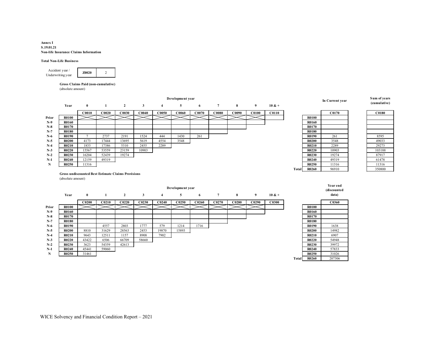**Annex I S.19.01.21 Non-life Insurance Claims Information** 

#### **Total Non-Life Business**

**Z0020** 2 Accident year / Underwriting year

> **Gross Claims Paid (non-cumulative)** (absolute amount)

|       | Development year  |              |       |                                                           |                   |                |              |       |                 |       |                   |              |       | In Current year | Sum of years |              |
|-------|-------------------|--------------|-------|-----------------------------------------------------------|-------------------|----------------|--------------|-------|-----------------|-------|-------------------|--------------|-------|-----------------|--------------|--------------|
|       | Year              | $\mathbf{0}$ |       | $\overline{2}$                                            | 3                 | $\overline{4}$ | 5            | 6     | $7\phantom{.0}$ | 8     | 9                 | $10 & +$     |       |                 |              | (cumulative) |
|       |                   | <b>C0010</b> | C0020 | C0030                                                     | CO <sub>040</sub> | C0050          | <b>C0060</b> | C0070 | C0080           | C0090 | C <sub>0100</sub> | <b>C0110</b> |       |                 | C0170        | <b>C0180</b> |
| Prior | <b>R0100</b>      |              |       |                                                           |                   |                |              |       |                 |       |                   |              |       | <b>R0100</b>    |              |              |
| $N-9$ | <b>R0160</b>      |              |       |                                                           |                   |                |              |       |                 |       |                   |              |       | R0160           |              |              |
| $N-8$ | <b>R0170</b>      |              |       |                                                           |                   |                |              |       |                 |       |                   |              |       | <b>R0170</b>    |              |              |
| $N-7$ | <b>R0180</b>      |              |       |                                                           |                   |                |              |       |                 |       |                   |              |       | <b>R0180</b>    |              |              |
| $N-6$ | <b>R0190</b>      |              | 2737  | 2191                                                      | 1524              | 444            | 1430         | 261   |                 |       |                   |              |       | R0190           | 261          | 8595         |
| $N-5$ | <b>R0200</b>      | 4173         | 17444 | 13695                                                     | 5619              | 4554           | 3548         |       |                 |       |                   |              |       | <b>R0200</b>    | 3548         | 49033        |
| $N-4$ | R0210             | 1833         | 17386 | 5310                                                      | 2455              | 2289           |              |       |                 |       |                   |              |       | R0210           | 2289         | 29273        |
| $N-3$ | <b>R0220</b>      | 15567        | 53559 | 23159                                                     | 10903             |                |              |       |                 |       |                   |              |       | <b>R0220</b>    | 10903        | 103188       |
| $N-2$ | <b>R0230</b>      | 16204        | 52439 | 19274                                                     |                   |                |              |       |                 |       |                   |              |       | <b>R0230</b>    | 19274        | 87917        |
| $N-1$ | <b>R0240</b>      | 12159        | 49319 |                                                           |                   |                |              |       |                 |       |                   |              |       | <b>R0240</b>    | 49319        | 61478        |
| N     | <b>R0250</b>      | 11316        |       |                                                           |                   |                |              |       |                 |       |                   |              |       | <b>R0250</b>    | 11316        | 11316        |
|       |                   |              |       |                                                           |                   |                |              |       |                 |       |                   |              | Total | <b>R0260</b>    | 96910        | 350800       |
|       |                   |              |       | <b>Gross undiscounted Best Estimate Claims Provisions</b> |                   |                |              |       |                 |       |                   |              |       |                 |              |              |
|       | (absolute amount) |              |       |                                                           |                   |                |              |       |                 |       |                   |              |       |                 |              |              |

|       |              |              |                   |                   |              |                         | Development year |       |                |              |                   |              |              | Year end<br>(discounter |
|-------|--------------|--------------|-------------------|-------------------|--------------|-------------------------|------------------|-------|----------------|--------------|-------------------|--------------|--------------|-------------------------|
|       | Year         | $\bf{0}$     |                   | $\mathbf{2}$      | 3            | $\overline{\mathbf{4}}$ | 5                | 6     | $\overline{7}$ | 8            | 9                 | $10 & +$     |              | data)                   |
|       |              | <b>C0200</b> | C <sub>0210</sub> | C <sub>0220</sub> | <b>C0230</b> | C0240                   | C0250            | C0260 | <b>C0270</b>   | <b>C0280</b> | C <sub>0290</sub> | <b>C0300</b> |              | <b>C0360</b>            |
| Prior | <b>R0100</b> |              |                   |                   |              |                         |                  |       |                |              |                   |              | <b>R0100</b> |                         |
| $N-9$ | R0160        |              |                   |                   |              |                         |                  |       |                |              |                   |              | <b>R0160</b> |                         |
| $N-8$ | <b>R0170</b> |              |                   |                   |              |                         |                  |       |                |              |                   |              | <b>R0170</b> |                         |
| $N-7$ | <b>R0180</b> |              |                   |                   |              |                         |                  |       |                |              |                   |              | <b>R0180</b> |                         |
| $N-6$ | R0190        |              | 4557              | 2803              | 1777         | 579                     | 1214             | 1716  |                |              |                   |              | <b>R0190</b> | 1638                    |
| $N-5$ | <b>R0200</b> | 8810         | 31629             | 28563             | 2453         | 19870                   | 15893            |       |                |              |                   |              | <b>R0200</b> | 14982                   |
| $N-4$ | R0210        | 9643         | 12511             | 1157              | 8908         | 7902                    |                  |       |                |              |                   |              | <b>R0210</b> | 6907                    |
| $N-3$ | <b>R0220</b> | 43422        | 6506              | 66709             | 58660        |                         |                  |       |                |              |                   |              | <b>R0220</b> | 54948                   |
| $N-2$ | R0230        | 3623         | 54359             | 42613             |              |                         |                  |       |                |              |                   |              | <b>R0230</b> | 39972                   |
| $N-1$ | <b>R0240</b> | 45441        | 59060             |                   |              |                         |                  |       |                |              |                   |              | <b>R0240</b> | 57833                   |
| N     | R0250        | 31461        |                   |                   |              |                         |                  |       |                |              |                   |              | <b>R0250</b> | 31026                   |

**(discounted data)**

**Total R0260** 207306

WICE Solvency and Financial Condition Report – 2021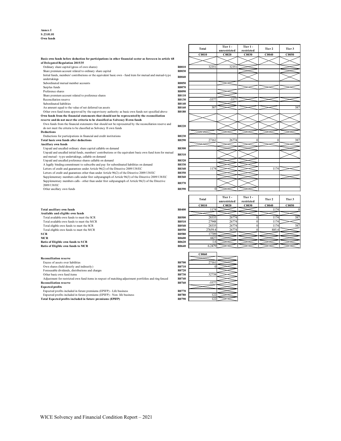#### **Annex I S.23.01.01 Own funds**

|                                                                                                                          |              |              | unicsulturu | ,,,,,,,,,,, |                   |       |
|--------------------------------------------------------------------------------------------------------------------------|--------------|--------------|-------------|-------------|-------------------|-------|
|                                                                                                                          |              | <b>C0010</b> | C0020       | C0030       | CO <sub>040</sub> | C0050 |
| Basic own funds before deduction for participations in other financial sector as foreseen in article 68                  |              |              |             |             |                   |       |
| of Delegated Regulation 2015/35                                                                                          |              |              |             |             |                   |       |
| Ordinary share capital (gross of own shares)                                                                             | R0010        | 32351        | 32351       |             |                   |       |
| Share premium account related to ordinary share capital                                                                  | <b>R0030</b> |              |             |             |                   |       |
| Initial funds, members' contributions or the equivalent basic own - fund item for mutual and mutual-type<br>undertakings | R0040        |              |             |             |                   |       |
| Subordinated mutual member accounts                                                                                      | <b>R0050</b> |              |             |             |                   |       |
| Surplus funds                                                                                                            | <b>R0070</b> |              |             |             |                   |       |
| Preference shares                                                                                                        | <b>R0090</b> |              |             |             |                   |       |
| Share premium account related to preference shares                                                                       | R0110        |              |             |             |                   |       |
| Reconciliation reserve                                                                                                   | R0130        | $-5577$      | $-5577$     |             |                   |       |
| Subordinated liabilities                                                                                                 | R0140        |              |             |             |                   |       |
| An amount equal to the value of net deferred tax assets                                                                  | R0160        | 387          |             |             |                   | 387   |
| Other own fund items approved by the supervisory authority as basic own funds not specified above                        | <b>R0180</b> |              |             |             |                   |       |
| Own funds from the financial statements that should not be represented by the reconciliation                             |              |              |             |             |                   |       |
| reserve and do not meet the criteria to be classified as Solvency II own funds                                           |              |              |             |             |                   |       |
| Own funds from the financial statements that should not be represented by the reconciliation reserve and                 | <b>R0220</b> |              |             |             |                   |       |
| do not meet the criteria to be classified as Solvency II own funds                                                       |              |              |             |             |                   |       |
| <b>Deductions</b>                                                                                                        |              |              |             |             |                   |       |
| Deductions for participations in financial and credit institutions                                                       | R0230        |              |             |             |                   |       |
| Total basic own funds after deductions                                                                                   | <b>R0290</b> | 27161        | 26774       |             |                   | 387   |
| Ancillary own funds                                                                                                      |              |              |             |             |                   |       |
| Unpaid and uncalled ordinary share capital callable on demand                                                            | <b>R0300</b> |              |             |             |                   |       |
| Unpaid and uncalled initial funds, members' contributions or the equivalent basic own fund item for mutual               | R0310        |              |             |             |                   |       |
| and mutual - type undertakings, callable on demand                                                                       |              |              |             |             |                   |       |
|                                                                                                                          |              |              |             |             |                   |       |

Unpaid and uncalled preference shares callable on demand<br> **A** legally binding commitment to subscribe and pay for subordinated liabilities on demand<br> **R0** 

A legally binding commitment to subscribe and pay for subordinated liabilities on demand<br>Letters of credit and guarantees under Article 96(2) of the Directive 2009/138/EC **R0** Letters of credit and guarantees under Article 96(2) of the Directive 2009/138/EC

Letters of credit and guarantees other than under Article 96(2) of the Directive 2009/138/EC<br>Supplementary members calls under first subparagraph of Article 96(3) of the Directive 2009/138/EC<br>Supplementary members calls - Other ancillary own funds **R0** 

|  | Fotal ancillary own funds |  |  |
|--|---------------------------|--|--|
|  |                           |  |  |

#### **Available and eligible own funds**

 $Ratio of Eligible own funds to SCR$ **Ratio of Eligible own funds to MCR** 

#### **Reconciliation reserve**

Excess of assets over liabilities **R** 

Own shares (held directly and indirectly) **R** 

Foreseeable dividends, distributions and charges **Formal charges R** Other basic own fund items Other basic own fund items

Adjustment for restricted own fund items in respect of matching adjustment portfolios and ring fenced **R0 Reconciliation reserve R07600** - **R07600** - **R07600** - **R07600** - **R07600** - **R07600** - **R07600** - **R07600** - **R07600** - **R07600** - **R07600** - **R07600** - **R07600** - **R07600** - **R07600** - **R07600** - **R07600** - **R07600** -

#### **Expected profits**

Expected profits included in future premiums (EPIFP) - Life business **R** 

Expected profits included in future premiums (EPIFP) - Non- life business **R** 

**Total Expected profits included in future premiums (EPIFP) R0790** 122

| Total<br>C0010 | Tier 1-<br>unrestricted<br>C0020 | Tier 1-<br>restricted<br>C0030 | Tier 2<br>C0040 | Tier 3<br>C0050 |
|----------------|----------------------------------|--------------------------------|-----------------|-----------------|
|                |                                  |                                |                 |                 |
| 32351          | 32351                            |                                |                 |                 |
|                |                                  |                                |                 |                 |
|                |                                  |                                |                 |                 |
|                |                                  |                                |                 |                 |
|                |                                  |                                |                 |                 |
|                |                                  |                                |                 |                 |
| $-5577$        | $-5577$                          |                                |                 |                 |
| 387            |                                  |                                |                 | 387             |
|                |                                  |                                |                 |                 |
|                |                                  |                                |                 |                 |
|                |                                  |                                |                 |                 |
| 27161          | 26774                            | $\overline{0}$                 | $\theta$        | 387             |
|                |                                  |                                |                 |                 |
|                |                                  |                                |                 |                 |
|                |                                  |                                |                 |                 |
| 1174           |                                  |                                | 1174            |                 |
|                |                                  |                                |                 |                 |
|                |                                  |                                |                 |                 |
|                |                                  |                                |                 |                 |
| $\mathbf{0}$   |                                  |                                |                 |                 |

|                                           |              | Total             | Tier 1-<br>unrestricted | Tier 1-<br>restricted | Tier 2            | Tier 3 |
|-------------------------------------------|--------------|-------------------|-------------------------|-----------------------|-------------------|--------|
|                                           |              | C <sub>0010</sub> | <b>C0020</b>            | <b>C0030</b>          | CO <sub>040</sub> | C0050  |
| Total ancillary own funds                 | <b>R0400</b> | 174               |                         |                       | 1174              |        |
| Available and eligible own funds          |              |                   |                         |                       |                   |        |
| Total available own funds to meet the SCR | <b>R0500</b> | 28335             | 26774                   |                       | 1174              | 387    |
| Total available own funds to meet the MCR | R0510        | 27948             | 26774                   |                       | 1174              |        |
| Total eligible own funds to meet the SCR  | <b>R0540</b> | 28335             | 26774                   |                       | 1174              | 387    |
| Total eligible own funds to meet the MCR  | <b>R0550</b> | 27659.4           | 26774                   |                       | 885.4             |        |
| SCR                                       | <b>R0580</b> | 17709             |                         |                       |                   |        |
| MCR                                       | <b>R0600</b> | 4427              |                         |                       |                   |        |
| Ratio of Eligible own funds to SCR        | R0620        | 1.61              |                         |                       |                   |        |
| Ratio of Eligible own funds to MCR        | R0640        | 6.2479            |                         |                       |                   |        |

|       | <b>C0060</b> |  |
|-------|--------------|--|
|       |              |  |
| 20700 | 27161        |  |
| 20710 | 0            |  |
| 20720 |              |  |
| 20730 | 32738        |  |
| 20740 |              |  |
| 20760 | $-5577$      |  |
|       |              |  |
| 20770 |              |  |
| 20780 | 122          |  |
| 20790 | 122          |  |
|       |              |  |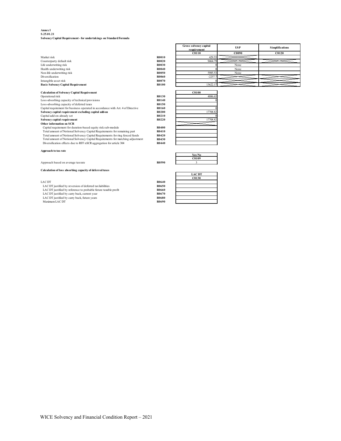Annex I<br>S.25.01.21<br>Solvency Capital Requirement - for undertakings on Standard Formula

| C0110<br>C0090<br>C0120<br>429.55<br>Market risk<br>R0010<br>9464.79<br>Counterparty default risk<br>R0020<br>Life underwriting risk<br>R0030<br>$\theta$<br>None<br>Health underwriting risk<br>$\theta$<br>R0040<br>None<br>5985.53<br>Non-life underwriting risk<br>R0050<br>None<br>Diversification<br>$-2257.7$<br>R0060<br>Intangible asset risk<br>R0070<br>13622.17<br><b>Basic Solvency Capital Requirement</b><br>R0100<br>C0100<br><b>Calculation of Solvency Capital Requirement</b><br>4086.65<br>R0130<br>Operational risk<br>Loss-absorbing capacity of technical provisions<br>R0140<br>Loss-absorbing capacity of deferred taxes<br>R0150<br>Capital requirement for business operated in accordance with Art. 4 of Directive<br>R0160<br>17708.82<br>Solvency capital requirement excluding capital add-on<br>R0200<br>Capital add-on already set<br>R0210<br>17708.82<br>Solvency capital requirement<br>R0220<br>Other information on SCR<br>Capital requirement for duration-based equity risk sub-module<br>R0400<br>Total amount of Notional Solvency Capital Requirements for remaining part<br>R0410<br>Total amount of Notional Solvency Capital Requirements for ring fenced funds<br>R0420<br>Total amount of Notional Solvency Capital Requirements for matching adjustment<br>R0430<br>Diversification effects due to RFF nSCR aggregation for article 304<br>R0440<br>Approach to tax rate<br>Yes/No<br>C0109<br>R0590<br>$\overline{3}$<br>Approach based on average taxrate<br>Calculation of loss absorbing capacity of deferred taxes<br><b>LAC DT</b><br>C0130<br><b>LACDT</b><br>R0640<br>LAC DT justified by reversion of deferred tax liabilities<br>R0650<br>LAC DT justified by reference to probable future taxable profit<br>R0660<br>LAC DT justified by carry back, current year<br>R0670<br>LAC DT justified by carry back, future years<br>R0680<br>Maximum LAC DT<br>R0690 |  | Gross solvency capital<br>requirement | <b>USP</b> | <b>Simplifications</b> |
|----------------------------------------------------------------------------------------------------------------------------------------------------------------------------------------------------------------------------------------------------------------------------------------------------------------------------------------------------------------------------------------------------------------------------------------------------------------------------------------------------------------------------------------------------------------------------------------------------------------------------------------------------------------------------------------------------------------------------------------------------------------------------------------------------------------------------------------------------------------------------------------------------------------------------------------------------------------------------------------------------------------------------------------------------------------------------------------------------------------------------------------------------------------------------------------------------------------------------------------------------------------------------------------------------------------------------------------------------------------------------------------------------------------------------------------------------------------------------------------------------------------------------------------------------------------------------------------------------------------------------------------------------------------------------------------------------------------------------------------------------------------------------------------------------------------------------------------------------------------------------------------------------------------------------|--|---------------------------------------|------------|------------------------|
|                                                                                                                                                                                                                                                                                                                                                                                                                                                                                                                                                                                                                                                                                                                                                                                                                                                                                                                                                                                                                                                                                                                                                                                                                                                                                                                                                                                                                                                                                                                                                                                                                                                                                                                                                                                                                                                                                                                            |  |                                       |            |                        |
|                                                                                                                                                                                                                                                                                                                                                                                                                                                                                                                                                                                                                                                                                                                                                                                                                                                                                                                                                                                                                                                                                                                                                                                                                                                                                                                                                                                                                                                                                                                                                                                                                                                                                                                                                                                                                                                                                                                            |  |                                       |            |                        |
|                                                                                                                                                                                                                                                                                                                                                                                                                                                                                                                                                                                                                                                                                                                                                                                                                                                                                                                                                                                                                                                                                                                                                                                                                                                                                                                                                                                                                                                                                                                                                                                                                                                                                                                                                                                                                                                                                                                            |  |                                       |            |                        |
|                                                                                                                                                                                                                                                                                                                                                                                                                                                                                                                                                                                                                                                                                                                                                                                                                                                                                                                                                                                                                                                                                                                                                                                                                                                                                                                                                                                                                                                                                                                                                                                                                                                                                                                                                                                                                                                                                                                            |  |                                       |            |                        |
|                                                                                                                                                                                                                                                                                                                                                                                                                                                                                                                                                                                                                                                                                                                                                                                                                                                                                                                                                                                                                                                                                                                                                                                                                                                                                                                                                                                                                                                                                                                                                                                                                                                                                                                                                                                                                                                                                                                            |  |                                       |            |                        |
|                                                                                                                                                                                                                                                                                                                                                                                                                                                                                                                                                                                                                                                                                                                                                                                                                                                                                                                                                                                                                                                                                                                                                                                                                                                                                                                                                                                                                                                                                                                                                                                                                                                                                                                                                                                                                                                                                                                            |  |                                       |            |                        |
|                                                                                                                                                                                                                                                                                                                                                                                                                                                                                                                                                                                                                                                                                                                                                                                                                                                                                                                                                                                                                                                                                                                                                                                                                                                                                                                                                                                                                                                                                                                                                                                                                                                                                                                                                                                                                                                                                                                            |  |                                       |            |                        |
|                                                                                                                                                                                                                                                                                                                                                                                                                                                                                                                                                                                                                                                                                                                                                                                                                                                                                                                                                                                                                                                                                                                                                                                                                                                                                                                                                                                                                                                                                                                                                                                                                                                                                                                                                                                                                                                                                                                            |  |                                       |            |                        |
|                                                                                                                                                                                                                                                                                                                                                                                                                                                                                                                                                                                                                                                                                                                                                                                                                                                                                                                                                                                                                                                                                                                                                                                                                                                                                                                                                                                                                                                                                                                                                                                                                                                                                                                                                                                                                                                                                                                            |  |                                       |            |                        |
|                                                                                                                                                                                                                                                                                                                                                                                                                                                                                                                                                                                                                                                                                                                                                                                                                                                                                                                                                                                                                                                                                                                                                                                                                                                                                                                                                                                                                                                                                                                                                                                                                                                                                                                                                                                                                                                                                                                            |  |                                       |            |                        |
|                                                                                                                                                                                                                                                                                                                                                                                                                                                                                                                                                                                                                                                                                                                                                                                                                                                                                                                                                                                                                                                                                                                                                                                                                                                                                                                                                                                                                                                                                                                                                                                                                                                                                                                                                                                                                                                                                                                            |  |                                       |            |                        |
|                                                                                                                                                                                                                                                                                                                                                                                                                                                                                                                                                                                                                                                                                                                                                                                                                                                                                                                                                                                                                                                                                                                                                                                                                                                                                                                                                                                                                                                                                                                                                                                                                                                                                                                                                                                                                                                                                                                            |  |                                       |            |                        |
|                                                                                                                                                                                                                                                                                                                                                                                                                                                                                                                                                                                                                                                                                                                                                                                                                                                                                                                                                                                                                                                                                                                                                                                                                                                                                                                                                                                                                                                                                                                                                                                                                                                                                                                                                                                                                                                                                                                            |  |                                       |            |                        |
|                                                                                                                                                                                                                                                                                                                                                                                                                                                                                                                                                                                                                                                                                                                                                                                                                                                                                                                                                                                                                                                                                                                                                                                                                                                                                                                                                                                                                                                                                                                                                                                                                                                                                                                                                                                                                                                                                                                            |  |                                       |            |                        |
|                                                                                                                                                                                                                                                                                                                                                                                                                                                                                                                                                                                                                                                                                                                                                                                                                                                                                                                                                                                                                                                                                                                                                                                                                                                                                                                                                                                                                                                                                                                                                                                                                                                                                                                                                                                                                                                                                                                            |  |                                       |            |                        |
|                                                                                                                                                                                                                                                                                                                                                                                                                                                                                                                                                                                                                                                                                                                                                                                                                                                                                                                                                                                                                                                                                                                                                                                                                                                                                                                                                                                                                                                                                                                                                                                                                                                                                                                                                                                                                                                                                                                            |  |                                       |            |                        |
|                                                                                                                                                                                                                                                                                                                                                                                                                                                                                                                                                                                                                                                                                                                                                                                                                                                                                                                                                                                                                                                                                                                                                                                                                                                                                                                                                                                                                                                                                                                                                                                                                                                                                                                                                                                                                                                                                                                            |  |                                       |            |                        |
|                                                                                                                                                                                                                                                                                                                                                                                                                                                                                                                                                                                                                                                                                                                                                                                                                                                                                                                                                                                                                                                                                                                                                                                                                                                                                                                                                                                                                                                                                                                                                                                                                                                                                                                                                                                                                                                                                                                            |  |                                       |            |                        |
|                                                                                                                                                                                                                                                                                                                                                                                                                                                                                                                                                                                                                                                                                                                                                                                                                                                                                                                                                                                                                                                                                                                                                                                                                                                                                                                                                                                                                                                                                                                                                                                                                                                                                                                                                                                                                                                                                                                            |  |                                       |            |                        |
|                                                                                                                                                                                                                                                                                                                                                                                                                                                                                                                                                                                                                                                                                                                                                                                                                                                                                                                                                                                                                                                                                                                                                                                                                                                                                                                                                                                                                                                                                                                                                                                                                                                                                                                                                                                                                                                                                                                            |  |                                       |            |                        |
|                                                                                                                                                                                                                                                                                                                                                                                                                                                                                                                                                                                                                                                                                                                                                                                                                                                                                                                                                                                                                                                                                                                                                                                                                                                                                                                                                                                                                                                                                                                                                                                                                                                                                                                                                                                                                                                                                                                            |  |                                       |            |                        |
|                                                                                                                                                                                                                                                                                                                                                                                                                                                                                                                                                                                                                                                                                                                                                                                                                                                                                                                                                                                                                                                                                                                                                                                                                                                                                                                                                                                                                                                                                                                                                                                                                                                                                                                                                                                                                                                                                                                            |  |                                       |            |                        |
|                                                                                                                                                                                                                                                                                                                                                                                                                                                                                                                                                                                                                                                                                                                                                                                                                                                                                                                                                                                                                                                                                                                                                                                                                                                                                                                                                                                                                                                                                                                                                                                                                                                                                                                                                                                                                                                                                                                            |  |                                       |            |                        |
|                                                                                                                                                                                                                                                                                                                                                                                                                                                                                                                                                                                                                                                                                                                                                                                                                                                                                                                                                                                                                                                                                                                                                                                                                                                                                                                                                                                                                                                                                                                                                                                                                                                                                                                                                                                                                                                                                                                            |  |                                       |            |                        |
|                                                                                                                                                                                                                                                                                                                                                                                                                                                                                                                                                                                                                                                                                                                                                                                                                                                                                                                                                                                                                                                                                                                                                                                                                                                                                                                                                                                                                                                                                                                                                                                                                                                                                                                                                                                                                                                                                                                            |  |                                       |            |                        |
|                                                                                                                                                                                                                                                                                                                                                                                                                                                                                                                                                                                                                                                                                                                                                                                                                                                                                                                                                                                                                                                                                                                                                                                                                                                                                                                                                                                                                                                                                                                                                                                                                                                                                                                                                                                                                                                                                                                            |  |                                       |            |                        |
|                                                                                                                                                                                                                                                                                                                                                                                                                                                                                                                                                                                                                                                                                                                                                                                                                                                                                                                                                                                                                                                                                                                                                                                                                                                                                                                                                                                                                                                                                                                                                                                                                                                                                                                                                                                                                                                                                                                            |  |                                       |            |                        |
|                                                                                                                                                                                                                                                                                                                                                                                                                                                                                                                                                                                                                                                                                                                                                                                                                                                                                                                                                                                                                                                                                                                                                                                                                                                                                                                                                                                                                                                                                                                                                                                                                                                                                                                                                                                                                                                                                                                            |  |                                       |            |                        |
|                                                                                                                                                                                                                                                                                                                                                                                                                                                                                                                                                                                                                                                                                                                                                                                                                                                                                                                                                                                                                                                                                                                                                                                                                                                                                                                                                                                                                                                                                                                                                                                                                                                                                                                                                                                                                                                                                                                            |  |                                       |            |                        |
|                                                                                                                                                                                                                                                                                                                                                                                                                                                                                                                                                                                                                                                                                                                                                                                                                                                                                                                                                                                                                                                                                                                                                                                                                                                                                                                                                                                                                                                                                                                                                                                                                                                                                                                                                                                                                                                                                                                            |  |                                       |            |                        |
|                                                                                                                                                                                                                                                                                                                                                                                                                                                                                                                                                                                                                                                                                                                                                                                                                                                                                                                                                                                                                                                                                                                                                                                                                                                                                                                                                                                                                                                                                                                                                                                                                                                                                                                                                                                                                                                                                                                            |  |                                       |            |                        |
|                                                                                                                                                                                                                                                                                                                                                                                                                                                                                                                                                                                                                                                                                                                                                                                                                                                                                                                                                                                                                                                                                                                                                                                                                                                                                                                                                                                                                                                                                                                                                                                                                                                                                                                                                                                                                                                                                                                            |  |                                       |            |                        |
|                                                                                                                                                                                                                                                                                                                                                                                                                                                                                                                                                                                                                                                                                                                                                                                                                                                                                                                                                                                                                                                                                                                                                                                                                                                                                                                                                                                                                                                                                                                                                                                                                                                                                                                                                                                                                                                                                                                            |  |                                       |            |                        |
|                                                                                                                                                                                                                                                                                                                                                                                                                                                                                                                                                                                                                                                                                                                                                                                                                                                                                                                                                                                                                                                                                                                                                                                                                                                                                                                                                                                                                                                                                                                                                                                                                                                                                                                                                                                                                                                                                                                            |  |                                       |            |                        |
|                                                                                                                                                                                                                                                                                                                                                                                                                                                                                                                                                                                                                                                                                                                                                                                                                                                                                                                                                                                                                                                                                                                                                                                                                                                                                                                                                                                                                                                                                                                                                                                                                                                                                                                                                                                                                                                                                                                            |  |                                       |            |                        |